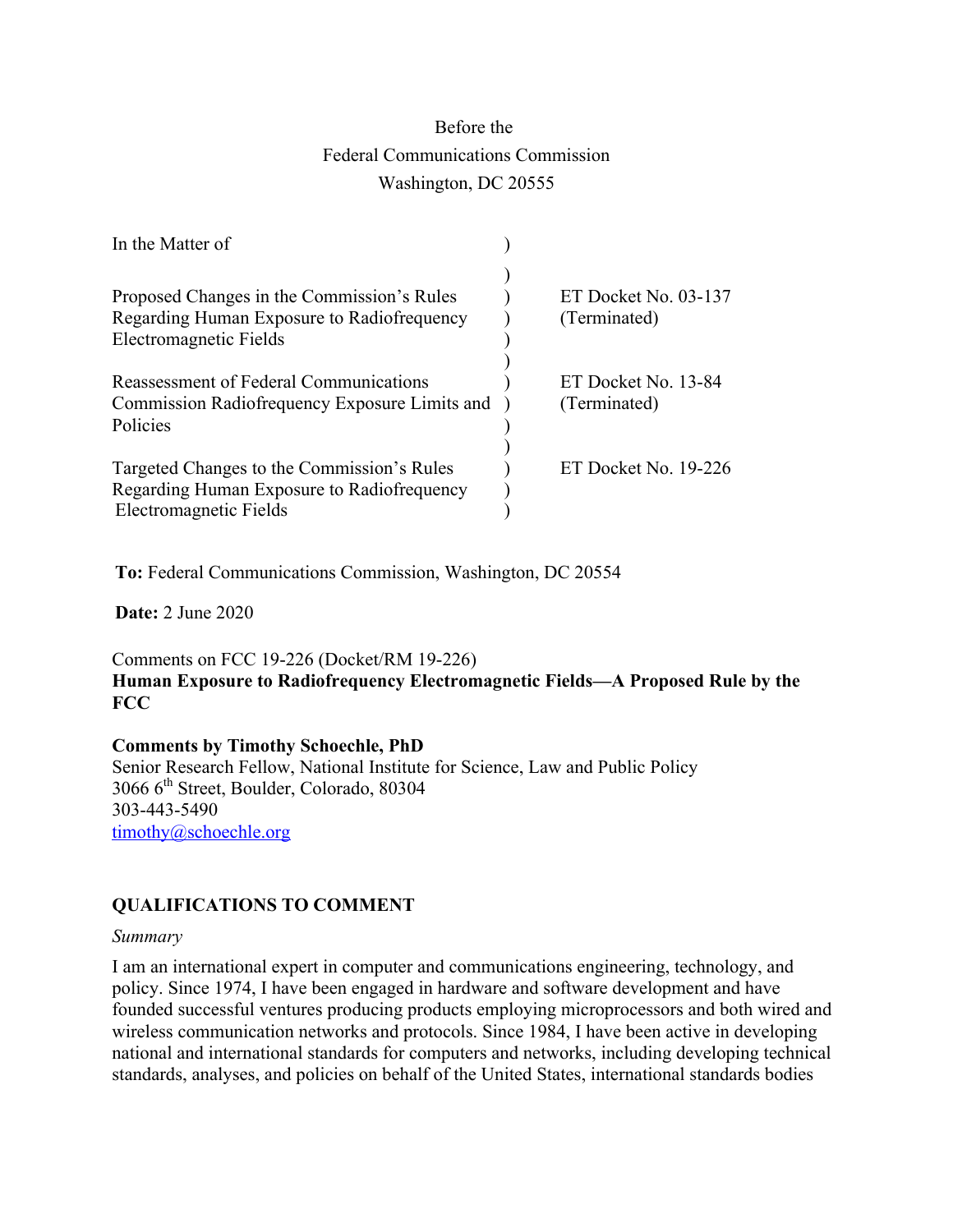# Before the Federal Communications Commission Washington, DC 20555

| In the Matter of                                                                                                   |                                      |
|--------------------------------------------------------------------------------------------------------------------|--------------------------------------|
| Proposed Changes in the Commission's Rules<br>Regarding Human Exposure to Radiofrequency<br>Electromagnetic Fields | ET Docket No. 03-137<br>(Terminated) |
| Reassessment of Federal Communications<br>Commission Radiofrequency Exposure Limits and<br>Policies                | ET Docket No. 13-84<br>(Terminated)  |
| Targeted Changes to the Commission's Rules<br>Regarding Human Exposure to Radiofrequency<br>Electromagnetic Fields | ET Docket No. 19-226                 |

**To:** Federal Communications Commission, Washington, DC 20554

**Date:** 2 June 2020

Comments on FCC 19-226 (Docket/RM 19-226) **Human Exposure to Radiofrequency Electromagnetic Fields—A Proposed Rule by the FCC**

#### **Comments by Timothy Schoechle, PhD**

Senior Research Fellow, National Institute for Science, Law and Public Policy 3066 6th Street, Boulder, Colorado, 80304 303-443-5490 timothy@schoechle.org

## **QUALIFICATIONS TO COMMENT**

#### *Summary*

I am an international expert in computer and communications engineering, technology, and policy. Since 1974, I have been engaged in hardware and software development and have founded successful ventures producing products employing microprocessors and both wired and wireless communication networks and protocols. Since 1984, I have been active in developing national and international standards for computers and networks, including developing technical standards, analyses, and policies on behalf of the United States, international standards bodies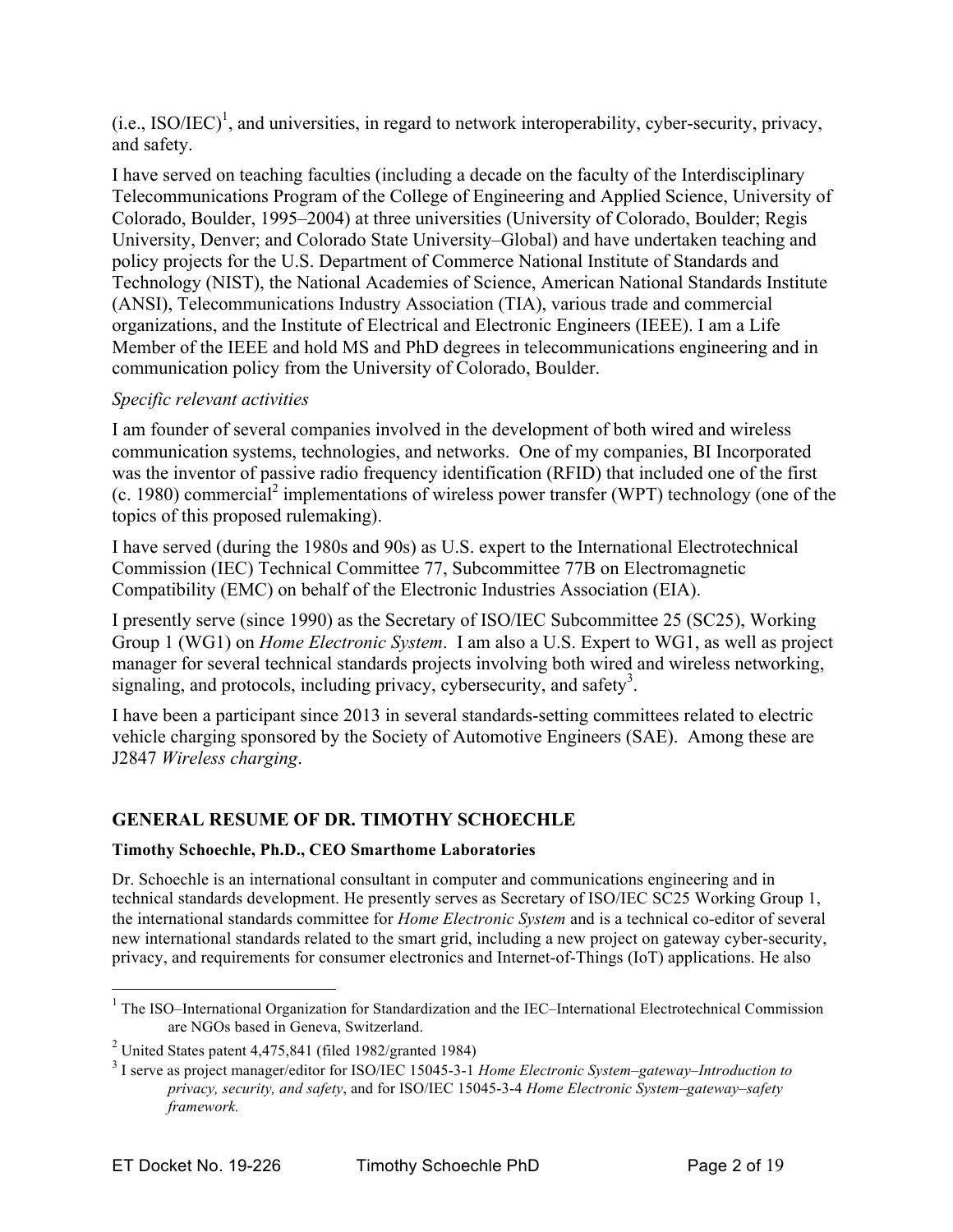$(i.e., ISO/IEC)<sup>1</sup>$ , and universities, in regard to network interoperability, cyber-security, privacy, and safety.

I have served on teaching faculties (including a decade on the faculty of the Interdisciplinary Telecommunications Program of the College of Engineering and Applied Science, University of Colorado, Boulder, 1995–2004) at three universities (University of Colorado, Boulder; Regis University, Denver; and Colorado State University–Global) and have undertaken teaching and policy projects for the U.S. Department of Commerce National Institute of Standards and Technology (NIST), the National Academies of Science, American National Standards Institute (ANSI), Telecommunications Industry Association (TIA), various trade and commercial organizations, and the Institute of Electrical and Electronic Engineers (IEEE). I am a Life Member of the IEEE and hold MS and PhD degrees in telecommunications engineering and in communication policy from the University of Colorado, Boulder.

## *Specific relevant activities*

I am founder of several companies involved in the development of both wired and wireless communication systems, technologies, and networks. One of my companies, BI Incorporated was the inventor of passive radio frequency identification (RFID) that included one of the first  $(c. 1980)$  commercial<sup>2</sup> implementations of wireless power transfer (WPT) technology (one of the topics of this proposed rulemaking).

I have served (during the 1980s and 90s) as U.S. expert to the International Electrotechnical Commission (IEC) Technical Committee 77, Subcommittee 77B on Electromagnetic Compatibility (EMC) on behalf of the Electronic Industries Association (EIA).

I presently serve (since 1990) as the Secretary of ISO/IEC Subcommittee 25 (SC25), Working Group 1 (WG1) on *Home Electronic System*. I am also a U.S. Expert to WG1, as well as project manager for several technical standards projects involving both wired and wireless networking, signaling, and protocols, including privacy, cybersecurity, and safety<sup>3</sup>.

I have been a participant since 2013 in several standards-setting committees related to electric vehicle charging sponsored by the Society of Automotive Engineers (SAE). Among these are J2847 *Wireless charging*.

# **GENERAL RESUME OF DR. TIMOTHY SCHOECHLE**

## **Timothy Schoechle, Ph.D., CEO Smarthome Laboratories**

Dr. Schoechle is an international consultant in computer and communications engineering and in technical standards development. He presently serves as Secretary of ISO/IEC SC25 Working Group 1, the international standards committee for *Home Electronic System* and is a technical co-editor of several new international standards related to the smart grid, including a new project on gateway cyber-security, privacy, and requirements for consumer electronics and Internet-of-Things (IoT) applications. He also

 $\frac{1}{1}$ <sup>1</sup> The ISO–International Organization for Standardization and the IEC–International Electrotechnical Commission are NGOs based in Geneva, Switzerland.

<sup>&</sup>lt;sup>2</sup> United States patent 4,475,841 (filed 1982/granted 1984)

<sup>3</sup> I serve as project manager/editor for ISO/IEC 15045-3-1 *Home Electronic System–gateway–Introduction to privacy, security, and safety*, and for ISO/IEC 15045-3-4 *Home Electronic System–gateway–safety framework.*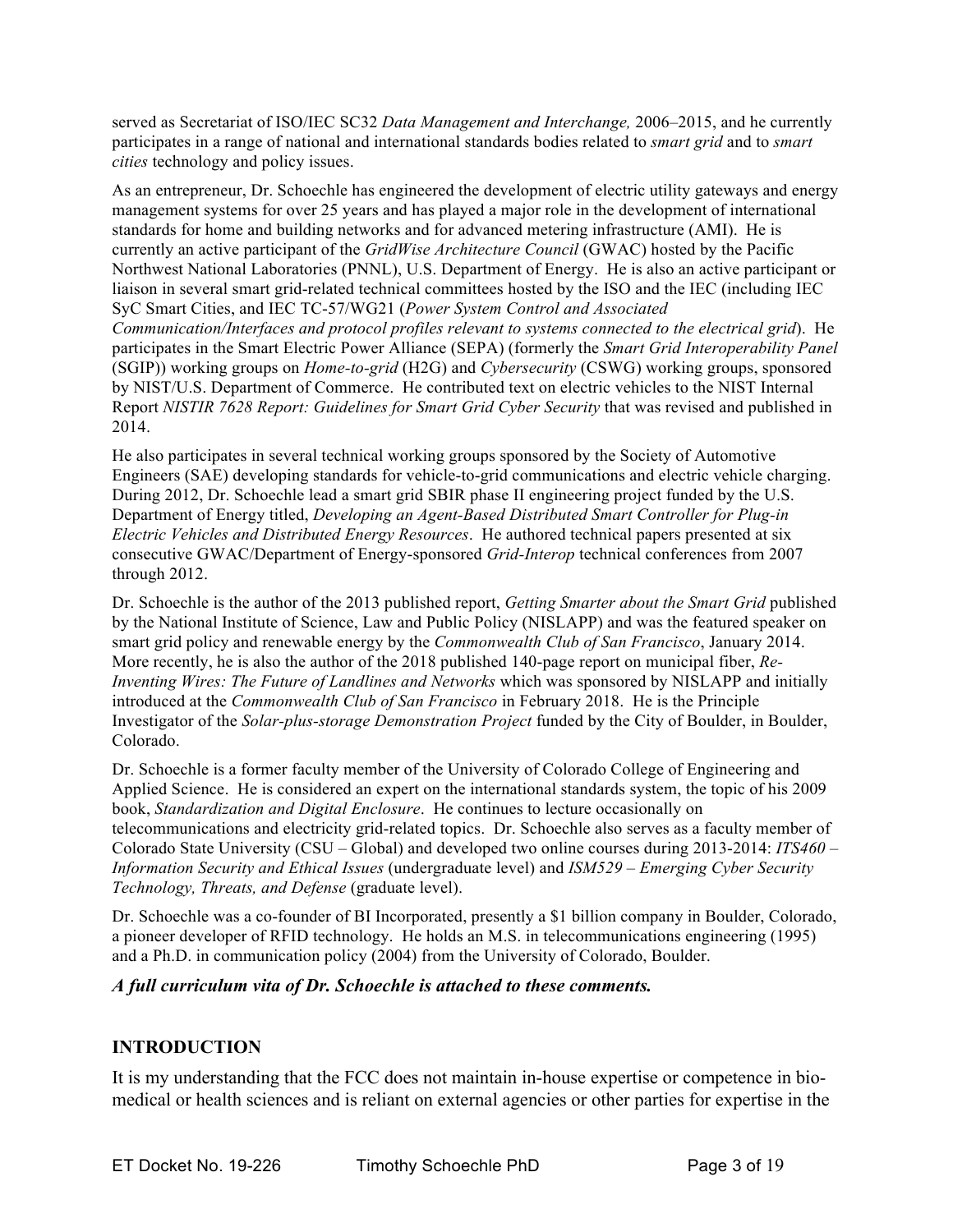served as Secretariat of ISO/IEC SC32 *Data Management and Interchange,* 2006–2015, and he currently participates in a range of national and international standards bodies related to *smart grid* and to *smart cities* technology and policy issues.

As an entrepreneur, Dr. Schoechle has engineered the development of electric utility gateways and energy management systems for over 25 years and has played a major role in the development of international standards for home and building networks and for advanced metering infrastructure (AMI). He is currently an active participant of the *GridWise Architecture Council* (GWAC) hosted by the Pacific Northwest National Laboratories (PNNL), U.S. Department of Energy. He is also an active participant or liaison in several smart grid-related technical committees hosted by the ISO and the IEC (including IEC SyC Smart Cities, and IEC TC-57/WG21 (*Power System Control and Associated Communication/Interfaces and protocol profiles relevant to systems connected to the electrical grid*). He participates in the Smart Electric Power Alliance (SEPA) (formerly the *Smart Grid Interoperability Panel* (SGIP)) working groups on *Home-to-grid* (H2G) and *Cybersecurity* (CSWG) working groups, sponsored by NIST/U.S. Department of Commerce. He contributed text on electric vehicles to the NIST Internal Report *NISTIR 7628 Report: Guidelines for Smart Grid Cyber Security* that was revised and published in 2014.

He also participates in several technical working groups sponsored by the Society of Automotive Engineers (SAE) developing standards for vehicle-to-grid communications and electric vehicle charging. During 2012, Dr. Schoechle lead a smart grid SBIR phase II engineering project funded by the U.S. Department of Energy titled, *Developing an Agent-Based Distributed Smart Controller for Plug-in Electric Vehicles and Distributed Energy Resources*. He authored technical papers presented at six consecutive GWAC/Department of Energy-sponsored *Grid-Interop* technical conferences from 2007 through 2012.

Dr. Schoechle is the author of the 2013 published report, *Getting Smarter about the Smart Grid* published by the National Institute of Science, Law and Public Policy (NISLAPP) and was the featured speaker on smart grid policy and renewable energy by the *Commonwealth Club of San Francisco*, January 2014. More recently, he is also the author of the 2018 published 140-page report on municipal fiber, *Re-Inventing Wires: The Future of Landlines and Networks* which was sponsored by NISLAPP and initially introduced at the *Commonwealth Club of San Francisco* in February 2018. He is the Principle Investigator of the *Solar-plus-storage Demonstration Project* funded by the City of Boulder, in Boulder, Colorado.

Dr. Schoechle is a former faculty member of the University of Colorado College of Engineering and Applied Science. He is considered an expert on the international standards system, the topic of his 2009 book, *Standardization and Digital Enclosure*. He continues to lecture occasionally on telecommunications and electricity grid-related topics. Dr. Schoechle also serves as a faculty member of Colorado State University (CSU – Global) and developed two online courses during 2013-2014: *ITS460 – Information Security and Ethical Issues* (undergraduate level) and *ISM529 – Emerging Cyber Security Technology, Threats, and Defense* (graduate level).

Dr. Schoechle was a co-founder of BI Incorporated, presently a \$1 billion company in Boulder, Colorado, a pioneer developer of RFID technology. He holds an M.S. in telecommunications engineering (1995) and a Ph.D. in communication policy (2004) from the University of Colorado, Boulder.

## *A full curriculum vita of Dr. Schoechle is attached to these comments.*

## **INTRODUCTION**

It is my understanding that the FCC does not maintain in-house expertise or competence in biomedical or health sciences and is reliant on external agencies or other parties for expertise in the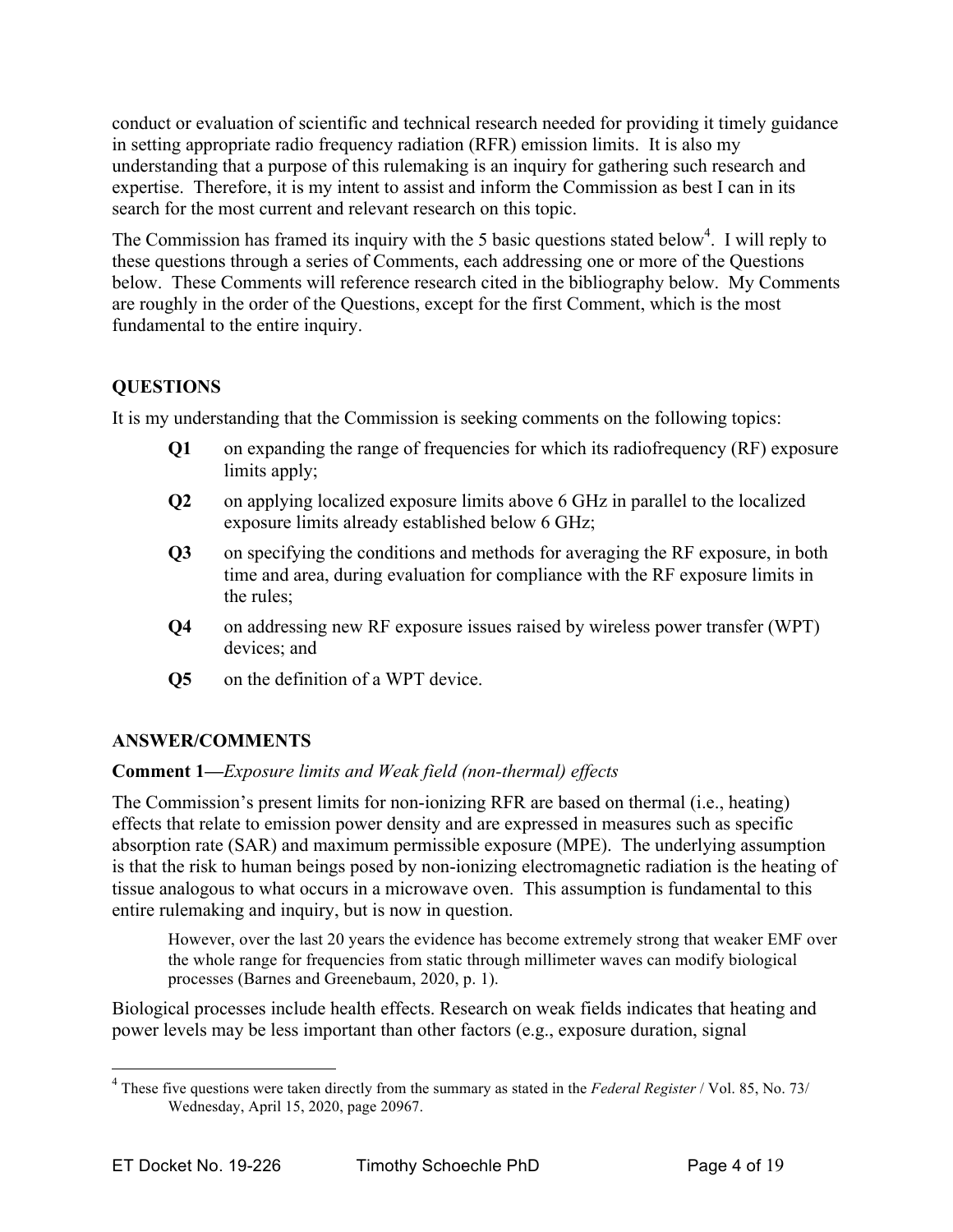conduct or evaluation of scientific and technical research needed for providing it timely guidance in setting appropriate radio frequency radiation (RFR) emission limits. It is also my understanding that a purpose of this rulemaking is an inquiry for gathering such research and expertise. Therefore, it is my intent to assist and inform the Commission as best I can in its search for the most current and relevant research on this topic.

The Commission has framed its inquiry with the 5 basic questions stated below<sup>4</sup>. I will reply to these questions through a series of Comments, each addressing one or more of the Questions below. These Comments will reference research cited in the bibliography below. My Comments are roughly in the order of the Questions, except for the first Comment, which is the most fundamental to the entire inquiry.

# **QUESTIONS**

It is my understanding that the Commission is seeking comments on the following topics:

- **Q1** on expanding the range of frequencies for which its radiofrequency (RF) exposure limits apply;
- **Q2** on applying localized exposure limits above 6 GHz in parallel to the localized exposure limits already established below 6 GHz;
- **Q3** on specifying the conditions and methods for averaging the RF exposure, in both time and area, during evaluation for compliance with the RF exposure limits in the rules;
- **Q4** on addressing new RF exposure issues raised by wireless power transfer (WPT) devices; and
- **Q5** on the definition of a WPT device.

# **ANSWER/COMMENTS**

# **Comment 1—***Exposure limits and Weak field (non-thermal) effects*

The Commission's present limits for non-ionizing RFR are based on thermal (i.e., heating) effects that relate to emission power density and are expressed in measures such as specific absorption rate (SAR) and maximum permissible exposure (MPE). The underlying assumption is that the risk to human beings posed by non-ionizing electromagnetic radiation is the heating of tissue analogous to what occurs in a microwave oven. This assumption is fundamental to this entire rulemaking and inquiry, but is now in question.

However, over the last 20 years the evidence has become extremely strong that weaker EMF over the whole range for frequencies from static through millimeter waves can modify biological processes (Barnes and Greenebaum, 2020, p. 1).

Biological processes include health effects. Research on weak fields indicates that heating and power levels may be less important than other factors (e.g., exposure duration, signal

 $\frac{1}{4}$  These five questions were taken directly from the summary as stated in the *Federal Register* / Vol. 85, No. 73/ Wednesday, April 15, 2020, page 20967.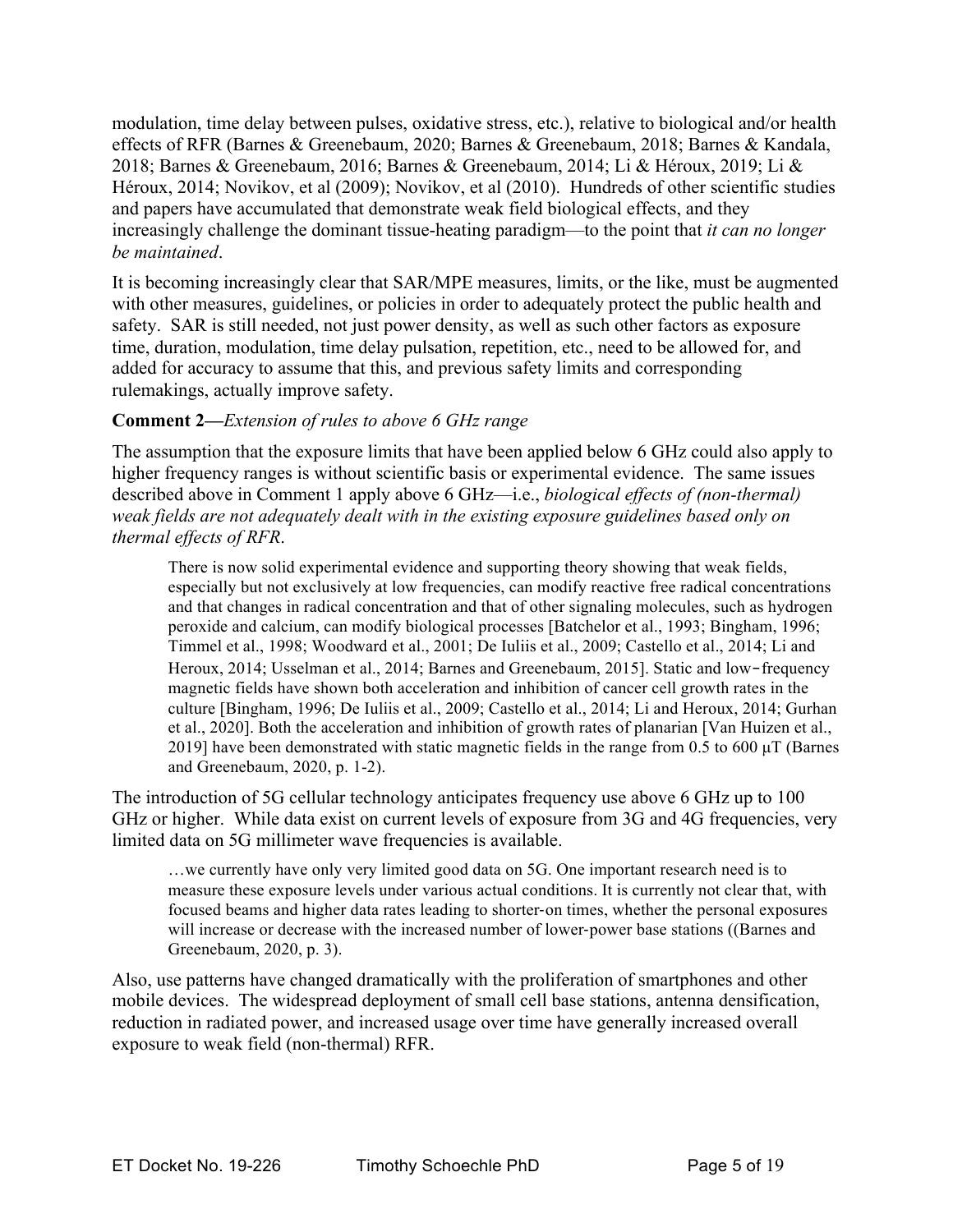modulation, time delay between pulses, oxidative stress, etc.), relative to biological and/or health effects of RFR (Barnes & Greenebaum, 2020; Barnes & Greenebaum, 2018; Barnes & Kandala, 2018; Barnes & Greenebaum, 2016; Barnes & Greenebaum, 2014; Li & Héroux, 2019; Li & Héroux, 2014; Novikov, et al (2009); Novikov, et al (2010). Hundreds of other scientific studies and papers have accumulated that demonstrate weak field biological effects, and they increasingly challenge the dominant tissue-heating paradigm—to the point that *it can no longer be maintained*.

It is becoming increasingly clear that SAR/MPE measures, limits, or the like, must be augmented with other measures, guidelines, or policies in order to adequately protect the public health and safety. SAR is still needed, not just power density, as well as such other factors as exposure time, duration, modulation, time delay pulsation, repetition, etc., need to be allowed for, and added for accuracy to assume that this, and previous safety limits and corresponding rulemakings, actually improve safety.

## **Comment 2—***Extension of rules to above 6 GHz range*

The assumption that the exposure limits that have been applied below 6 GHz could also apply to higher frequency ranges is without scientific basis or experimental evidence. The same issues described above in Comment 1 apply above 6 GHz—i.e., *biological effects of (non-thermal) weak fields are not adequately dealt with in the existing exposure guidelines based only on thermal effects of RFR*.

There is now solid experimental evidence and supporting theory showing that weak fields, especially but not exclusively at low frequencies, can modify reactive free radical concentrations and that changes in radical concentration and that of other signaling molecules, such as hydrogen peroxide and calcium, can modify biological processes [Batchelor et al., 1993; Bingham, 1996; Timmel et al., 1998; Woodward et al., 2001; De Iuliis et al., 2009; Castello et al., 2014; Li and Heroux, 2014; Usselman et al., 2014; Barnes and Greenebaum, 2015]. Static and low-frequency magnetic fields have shown both acceleration and inhibition of cancer cell growth rates in the culture [Bingham, 1996; De Iuliis et al., 2009; Castello et al., 2014; Li and Heroux, 2014; Gurhan et al., 2020]. Both the acceleration and inhibition of growth rates of planarian [Van Huizen et al., 2019] have been demonstrated with static magnetic fields in the range from 0.5 to 600  $\mu$ T (Barnes and Greenebaum, 2020, p. 1-2).

The introduction of 5G cellular technology anticipates frequency use above 6 GHz up to 100 GHz or higher. While data exist on current levels of exposure from 3G and 4G frequencies, very limited data on 5G millimeter wave frequencies is available.

…we currently have only very limited good data on 5G. One important research need is to measure these exposure levels under various actual conditions. It is currently not clear that, with focused beams and higher data rates leading to shorter-on times, whether the personal exposures will increase or decrease with the increased number of lower-power base stations ((Barnes and Greenebaum, 2020, p. 3).

Also, use patterns have changed dramatically with the proliferation of smartphones and other mobile devices. The widespread deployment of small cell base stations, antenna densification, reduction in radiated power, and increased usage over time have generally increased overall exposure to weak field (non-thermal) RFR.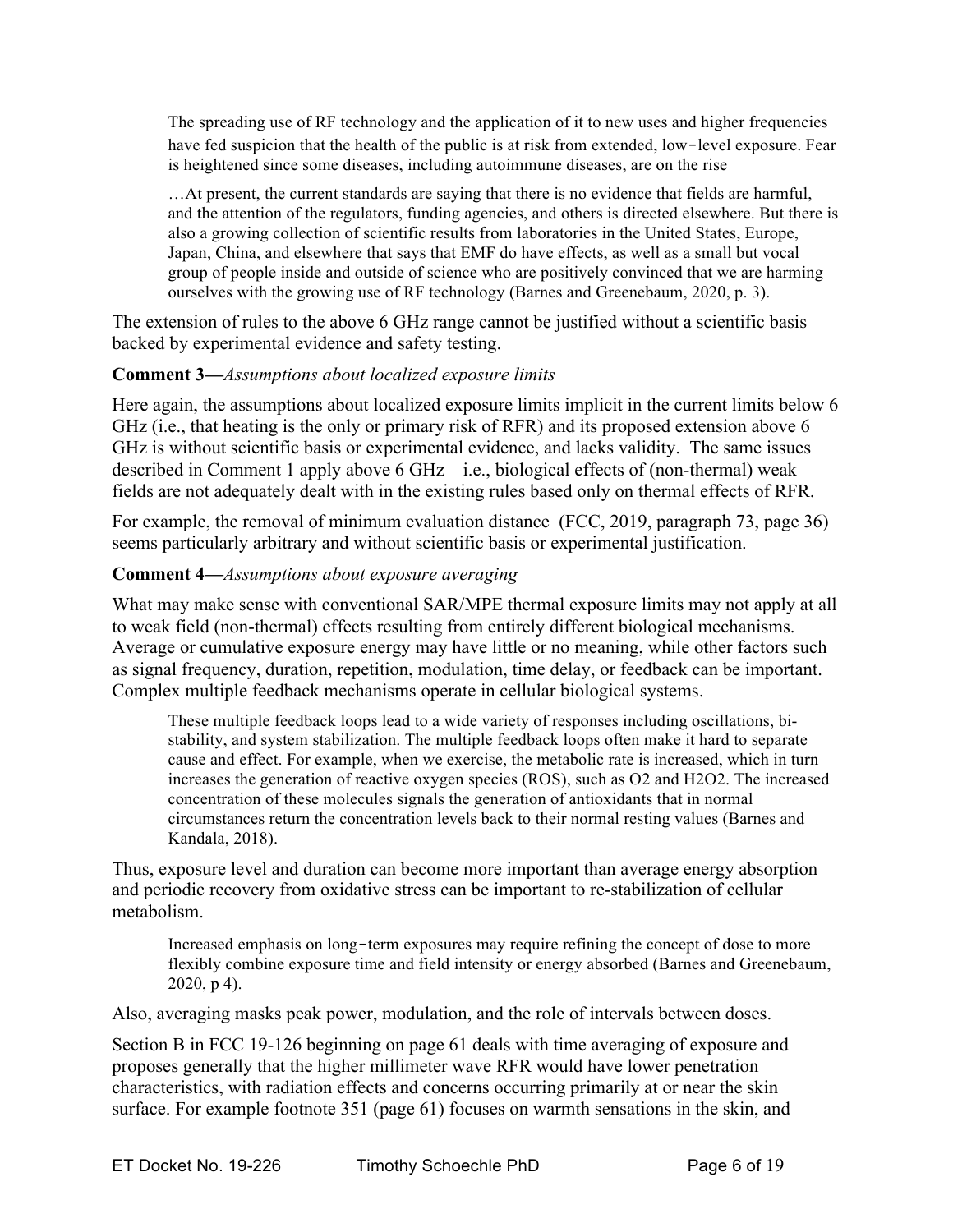The spreading use of RF technology and the application of it to new uses and higher frequencies have fed suspicion that the health of the public is at risk from extended, low-level exposure. Fear is heightened since some diseases, including autoimmune diseases, are on the rise

…At present, the current standards are saying that there is no evidence that fields are harmful, and the attention of the regulators, funding agencies, and others is directed elsewhere. But there is also a growing collection of scientific results from laboratories in the United States, Europe, Japan, China, and elsewhere that says that EMF do have effects, as well as a small but vocal group of people inside and outside of science who are positively convinced that we are harming ourselves with the growing use of RF technology (Barnes and Greenebaum, 2020, p. 3).

The extension of rules to the above 6 GHz range cannot be justified without a scientific basis backed by experimental evidence and safety testing.

## **Comment 3—***Assumptions about localized exposure limits*

Here again, the assumptions about localized exposure limits implicit in the current limits below 6 GHz (i.e., that heating is the only or primary risk of RFR) and its proposed extension above 6 GHz is without scientific basis or experimental evidence, and lacks validity. The same issues described in Comment 1 apply above 6 GHz—i.e., biological effects of (non-thermal) weak fields are not adequately dealt with in the existing rules based only on thermal effects of RFR.

For example, the removal of minimum evaluation distance (FCC, 2019, paragraph 73, page 36) seems particularly arbitrary and without scientific basis or experimental justification.

## **Comment 4—***Assumptions about exposure averaging*

What may make sense with conventional SAR/MPE thermal exposure limits may not apply at all to weak field (non-thermal) effects resulting from entirely different biological mechanisms. Average or cumulative exposure energy may have little or no meaning, while other factors such as signal frequency, duration, repetition, modulation, time delay, or feedback can be important. Complex multiple feedback mechanisms operate in cellular biological systems.

These multiple feedback loops lead to a wide variety of responses including oscillations, bistability, and system stabilization. The multiple feedback loops often make it hard to separate cause and effect. For example, when we exercise, the metabolic rate is increased, which in turn increases the generation of reactive oxygen species (ROS), such as O2 and H2O2. The increased concentration of these molecules signals the generation of antioxidants that in normal circumstances return the concentration levels back to their normal resting values (Barnes and Kandala, 2018).

Thus, exposure level and duration can become more important than average energy absorption and periodic recovery from oxidative stress can be important to re-stabilization of cellular metabolism.

Increased emphasis on long-term exposures may require refining the concept of dose to more flexibly combine exposure time and field intensity or energy absorbed (Barnes and Greenebaum, 2020, p 4).

Also, averaging masks peak power, modulation, and the role of intervals between doses.

Section B in FCC 19-126 beginning on page 61 deals with time averaging of exposure and proposes generally that the higher millimeter wave RFR would have lower penetration characteristics, with radiation effects and concerns occurring primarily at or near the skin surface. For example footnote 351 (page 61) focuses on warmth sensations in the skin, and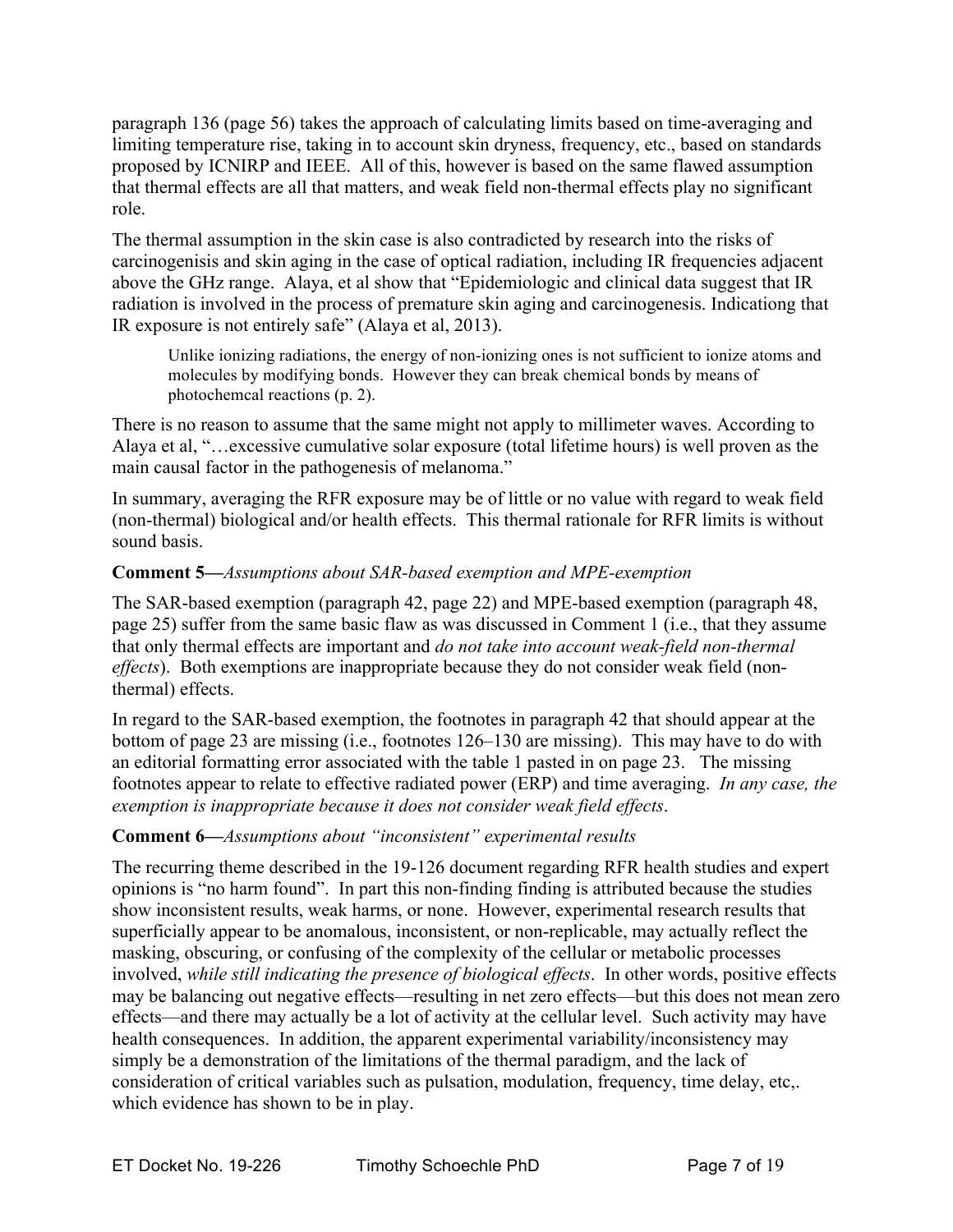paragraph 136 (page 56) takes the approach of calculating limits based on time-averaging and limiting temperature rise, taking in to account skin dryness, frequency, etc., based on standards proposed by ICNIRP and IEEE. All of this, however is based on the same flawed assumption that thermal effects are all that matters, and weak field non-thermal effects play no significant role.

The thermal assumption in the skin case is also contradicted by research into the risks of carcinogenisis and skin aging in the case of optical radiation, including IR frequencies adjacent above the GHz range. Alaya, et al show that "Epidemiologic and clinical data suggest that IR radiation is involved in the process of premature skin aging and carcinogenesis. Indicationg that IR exposure is not entirely safe" (Alaya et al, 2013).

Unlike ionizing radiations, the energy of non-ionizing ones is not sufficient to ionize atoms and molecules by modifying bonds. However they can break chemical bonds by means of photochemcal reactions (p. 2).

There is no reason to assume that the same might not apply to millimeter waves. According to Alaya et al, "…excessive cumulative solar exposure (total lifetime hours) is well proven as the main causal factor in the pathogenesis of melanoma."

In summary, averaging the RFR exposure may be of little or no value with regard to weak field (non-thermal) biological and/or health effects. This thermal rationale for RFR limits is without sound basis.

## **Comment 5—***Assumptions about SAR-based exemption and MPE-exemption*

The SAR-based exemption (paragraph 42, page 22) and MPE-based exemption (paragraph 48, page 25) suffer from the same basic flaw as was discussed in Comment 1 (i.e., that they assume that only thermal effects are important and *do not take into account weak-field non-thermal effects*). Both exemptions are inappropriate because they do not consider weak field (nonthermal) effects.

In regard to the SAR-based exemption, the footnotes in paragraph 42 that should appear at the bottom of page 23 are missing (i.e., footnotes 126–130 are missing). This may have to do with an editorial formatting error associated with the table 1 pasted in on page 23. The missing footnotes appear to relate to effective radiated power (ERP) and time averaging. *In any case, the exemption is inappropriate because it does not consider weak field effects*.

## **Comment 6—***Assumptions about "inconsistent" experimental results*

The recurring theme described in the 19-126 document regarding RFR health studies and expert opinions is "no harm found". In part this non-finding finding is attributed because the studies show inconsistent results, weak harms, or none. However, experimental research results that superficially appear to be anomalous, inconsistent, or non-replicable, may actually reflect the masking, obscuring, or confusing of the complexity of the cellular or metabolic processes involved, *while still indicating the presence of biological effects*. In other words, positive effects may be balancing out negative effects—resulting in net zero effects—but this does not mean zero effects—and there may actually be a lot of activity at the cellular level. Such activity may have health consequences. In addition, the apparent experimental variability/inconsistency may simply be a demonstration of the limitations of the thermal paradigm, and the lack of consideration of critical variables such as pulsation, modulation, frequency, time delay, etc,. which evidence has shown to be in play.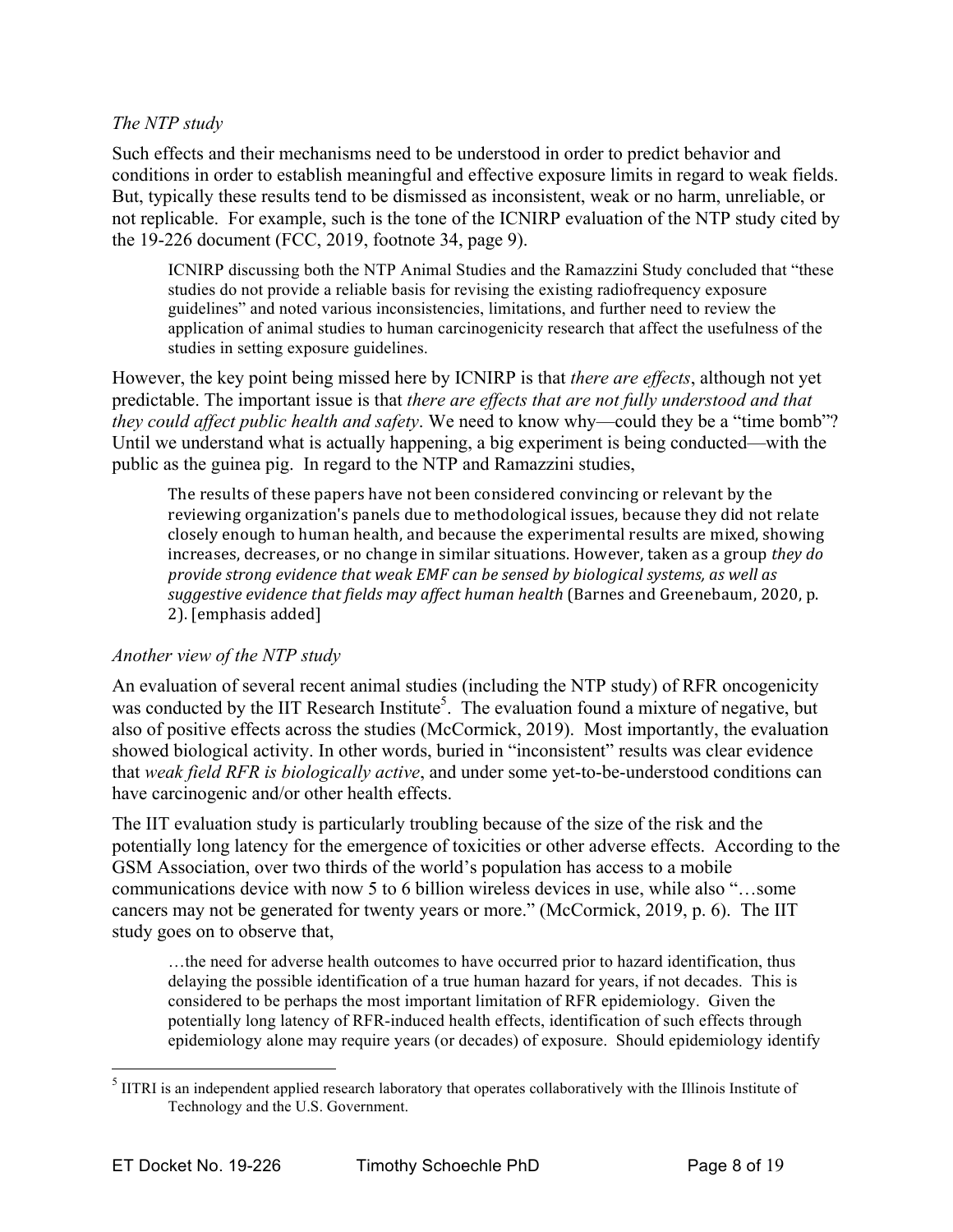#### *The NTP study*

Such effects and their mechanisms need to be understood in order to predict behavior and conditions in order to establish meaningful and effective exposure limits in regard to weak fields. But, typically these results tend to be dismissed as inconsistent, weak or no harm, unreliable, or not replicable. For example, such is the tone of the ICNIRP evaluation of the NTP study cited by the 19-226 document (FCC, 2019, footnote 34, page 9).

ICNIRP discussing both the NTP Animal Studies and the Ramazzini Study concluded that "these studies do not provide a reliable basis for revising the existing radiofrequency exposure guidelines" and noted various inconsistencies, limitations, and further need to review the application of animal studies to human carcinogenicity research that affect the usefulness of the studies in setting exposure guidelines.

However, the key point being missed here by ICNIRP is that *there are effects*, although not yet predictable. The important issue is that *there are effects that are not fully understood and that they could affect public health and safety*. We need to know why—could they be a "time bomb"? Until we understand what is actually happening, a big experiment is being conducted—with the public as the guinea pig. In regard to the NTP and Ramazzini studies,

The results of these papers have not been considered convincing or relevant by the reviewing organization's panels due to methodological issues, because they did not relate closely enough to human health, and because the experimental results are mixed, showing increases, decreases, or no change in similar situations. However, taken as a group *they do provide%strong%evidence%that%weak%EMF%can%be%sensed%by%biological%systems,%as%well%as%* suggestive evidence that fields may affect human health (Barnes and Greenebaum, 2020, p. 2). [emphasis added]

#### *Another view of the NTP study*

An evaluation of several recent animal studies (including the NTP study) of RFR oncogenicity was conducted by the IIT Research Institute<sup>5</sup>. The evaluation found a mixture of negative, but also of positive effects across the studies (McCormick, 2019). Most importantly, the evaluation showed biological activity. In other words, buried in "inconsistent" results was clear evidence that *weak field RFR is biologically active*, and under some yet-to-be-understood conditions can have carcinogenic and/or other health effects.

The IIT evaluation study is particularly troubling because of the size of the risk and the potentially long latency for the emergence of toxicities or other adverse effects. According to the GSM Association, over two thirds of the world's population has access to a mobile communications device with now 5 to 6 billion wireless devices in use, while also "…some cancers may not be generated for twenty years or more." (McCormick, 2019, p. 6). The IIT study goes on to observe that,

…the need for adverse health outcomes to have occurred prior to hazard identification, thus delaying the possible identification of a true human hazard for years, if not decades. This is considered to be perhaps the most important limitation of RFR epidemiology. Given the potentially long latency of RFR-induced health effects, identification of such effects through epidemiology alone may require years (or decades) of exposure. Should epidemiology identify

 <sup>5</sup>  $<sup>5</sup>$  IITRI is an independent applied research laboratory that operates collaboratively with the Illinois Institute of</sup> Technology and the U.S. Government.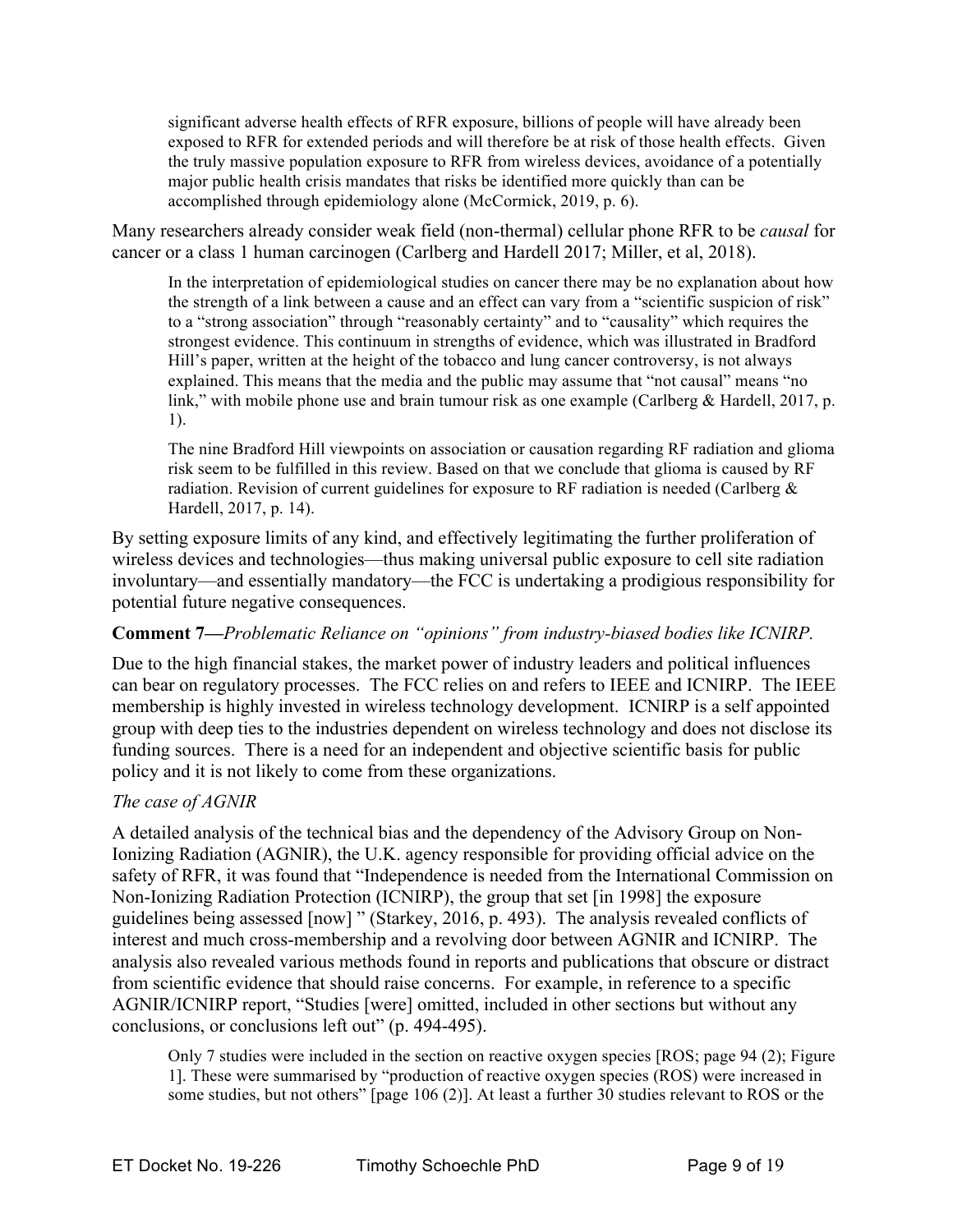significant adverse health effects of RFR exposure, billions of people will have already been exposed to RFR for extended periods and will therefore be at risk of those health effects. Given the truly massive population exposure to RFR from wireless devices, avoidance of a potentially major public health crisis mandates that risks be identified more quickly than can be accomplished through epidemiology alone (McCormick, 2019, p. 6).

Many researchers already consider weak field (non-thermal) cellular phone RFR to be *causal* for cancer or a class 1 human carcinogen (Carlberg and Hardell 2017; Miller, et al, 2018).

In the interpretation of epidemiological studies on cancer there may be no explanation about how the strength of a link between a cause and an effect can vary from a "scientific suspicion of risk" to a "strong association" through "reasonably certainty" and to "causality" which requires the strongest evidence. This continuum in strengths of evidence, which was illustrated in Bradford Hill's paper, written at the height of the tobacco and lung cancer controversy, is not always explained. This means that the media and the public may assume that "not causal" means "no link," with mobile phone use and brain tumour risk as one example (Carlberg & Hardell, 2017, p. 1).

The nine Bradford Hill viewpoints on association or causation regarding RF radiation and glioma risk seem to be fulfilled in this review. Based on that we conclude that glioma is caused by RF radiation. Revision of current guidelines for exposure to RF radiation is needed (Carlberg  $\&$ Hardell, 2017, p. 14).

By setting exposure limits of any kind, and effectively legitimating the further proliferation of wireless devices and technologies—thus making universal public exposure to cell site radiation involuntary—and essentially mandatory—the FCC is undertaking a prodigious responsibility for potential future negative consequences.

## **Comment 7—***Problematic Reliance on "opinions" from industry-biased bodies like ICNIRP.*

Due to the high financial stakes, the market power of industry leaders and political influences can bear on regulatory processes. The FCC relies on and refers to IEEE and ICNIRP. The IEEE membership is highly invested in wireless technology development. ICNIRP is a self appointed group with deep ties to the industries dependent on wireless technology and does not disclose its funding sources. There is a need for an independent and objective scientific basis for public policy and it is not likely to come from these organizations.

# *The case of AGNIR*

A detailed analysis of the technical bias and the dependency of the Advisory Group on Non-Ionizing Radiation (AGNIR), the U.K. agency responsible for providing official advice on the safety of RFR, it was found that "Independence is needed from the International Commission on Non-Ionizing Radiation Protection (ICNIRP), the group that set [in 1998] the exposure guidelines being assessed [now] " (Starkey, 2016, p. 493). The analysis revealed conflicts of interest and much cross-membership and a revolving door between AGNIR and ICNIRP. The analysis also revealed various methods found in reports and publications that obscure or distract from scientific evidence that should raise concerns. For example, in reference to a specific AGNIR/ICNIRP report, "Studies [were] omitted, included in other sections but without any conclusions, or conclusions left out" (p. 494-495).

Only 7 studies were included in the section on reactive oxygen species [ROS; page 94 (2); Figure 1]. These were summarised by "production of reactive oxygen species (ROS) were increased in some studies, but not others" [page 106 (2)]. At least a further 30 studies relevant to ROS or the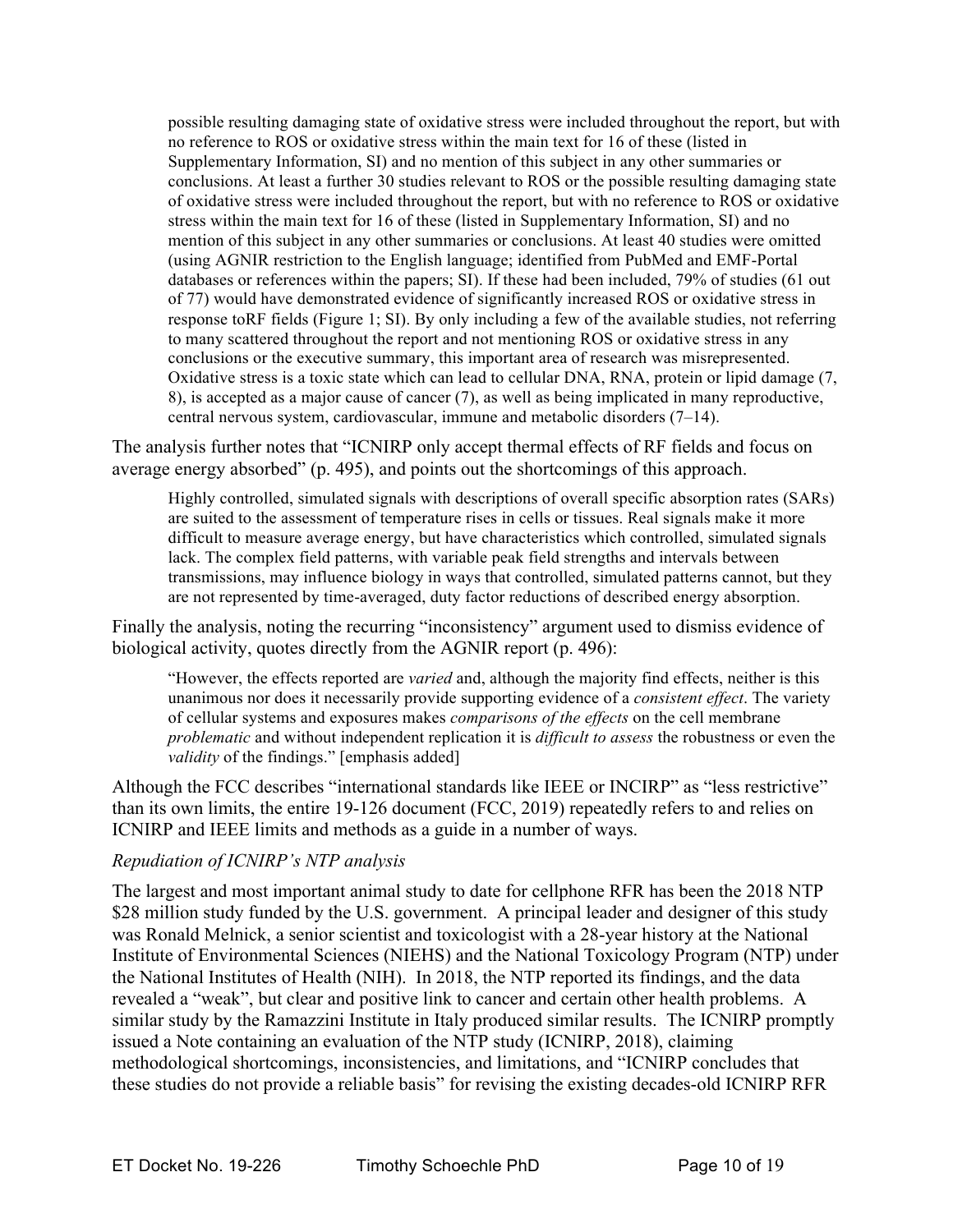possible resulting damaging state of oxidative stress were included throughout the report, but with no reference to ROS or oxidative stress within the main text for 16 of these (listed in Supplementary Information, SI) and no mention of this subject in any other summaries or conclusions. At least a further 30 studies relevant to ROS or the possible resulting damaging state of oxidative stress were included throughout the report, but with no reference to ROS or oxidative stress within the main text for 16 of these (listed in Supplementary Information, SI) and no mention of this subject in any other summaries or conclusions. At least 40 studies were omitted (using AGNIR restriction to the English language; identified from PubMed and EMF-Portal databases or references within the papers; SI). If these had been included, 79% of studies (61 out of 77) would have demonstrated evidence of significantly increased ROS or oxidative stress in response toRF fields (Figure 1; SI). By only including a few of the available studies, not referring to many scattered throughout the report and not mentioning ROS or oxidative stress in any conclusions or the executive summary, this important area of research was misrepresented. Oxidative stress is a toxic state which can lead to cellular DNA, RNA, protein or lipid damage (7, 8), is accepted as a major cause of cancer (7), as well as being implicated in many reproductive, central nervous system, cardiovascular, immune and metabolic disorders (7–14).

The analysis further notes that "ICNIRP only accept thermal effects of RF fields and focus on average energy absorbed" (p. 495), and points out the shortcomings of this approach.

Highly controlled, simulated signals with descriptions of overall specific absorption rates (SARs) are suited to the assessment of temperature rises in cells or tissues. Real signals make it more difficult to measure average energy, but have characteristics which controlled, simulated signals lack. The complex field patterns, with variable peak field strengths and intervals between transmissions, may influence biology in ways that controlled, simulated patterns cannot, but they are not represented by time-averaged, duty factor reductions of described energy absorption.

Finally the analysis, noting the recurring "inconsistency" argument used to dismiss evidence of biological activity, quotes directly from the AGNIR report (p. 496):

"However, the effects reported are *varied* and, although the majority find effects, neither is this unanimous nor does it necessarily provide supporting evidence of a *consistent effect*. The variety of cellular systems and exposures makes *comparisons of the effects* on the cell membrane *problematic* and without independent replication it is *difficult to assess* the robustness or even the *validity* of the findings." [emphasis added]

Although the FCC describes "international standards like IEEE or INCIRP" as "less restrictive" than its own limits, the entire 19-126 document (FCC, 2019) repeatedly refers to and relies on ICNIRP and IEEE limits and methods as a guide in a number of ways.

#### *Repudiation of ICNIRP's NTP analysis*

The largest and most important animal study to date for cellphone RFR has been the 2018 NTP \$28 million study funded by the U.S. government. A principal leader and designer of this study was Ronald Melnick, a senior scientist and toxicologist with a 28-year history at the National Institute of Environmental Sciences (NIEHS) and the National Toxicology Program (NTP) under the National Institutes of Health (NIH). In 2018, the NTP reported its findings, and the data revealed a "weak", but clear and positive link to cancer and certain other health problems. A similar study by the Ramazzini Institute in Italy produced similar results. The ICNIRP promptly issued a Note containing an evaluation of the NTP study (ICNIRP, 2018), claiming methodological shortcomings, inconsistencies, and limitations, and "ICNIRP concludes that these studies do not provide a reliable basis" for revising the existing decades-old ICNIRP RFR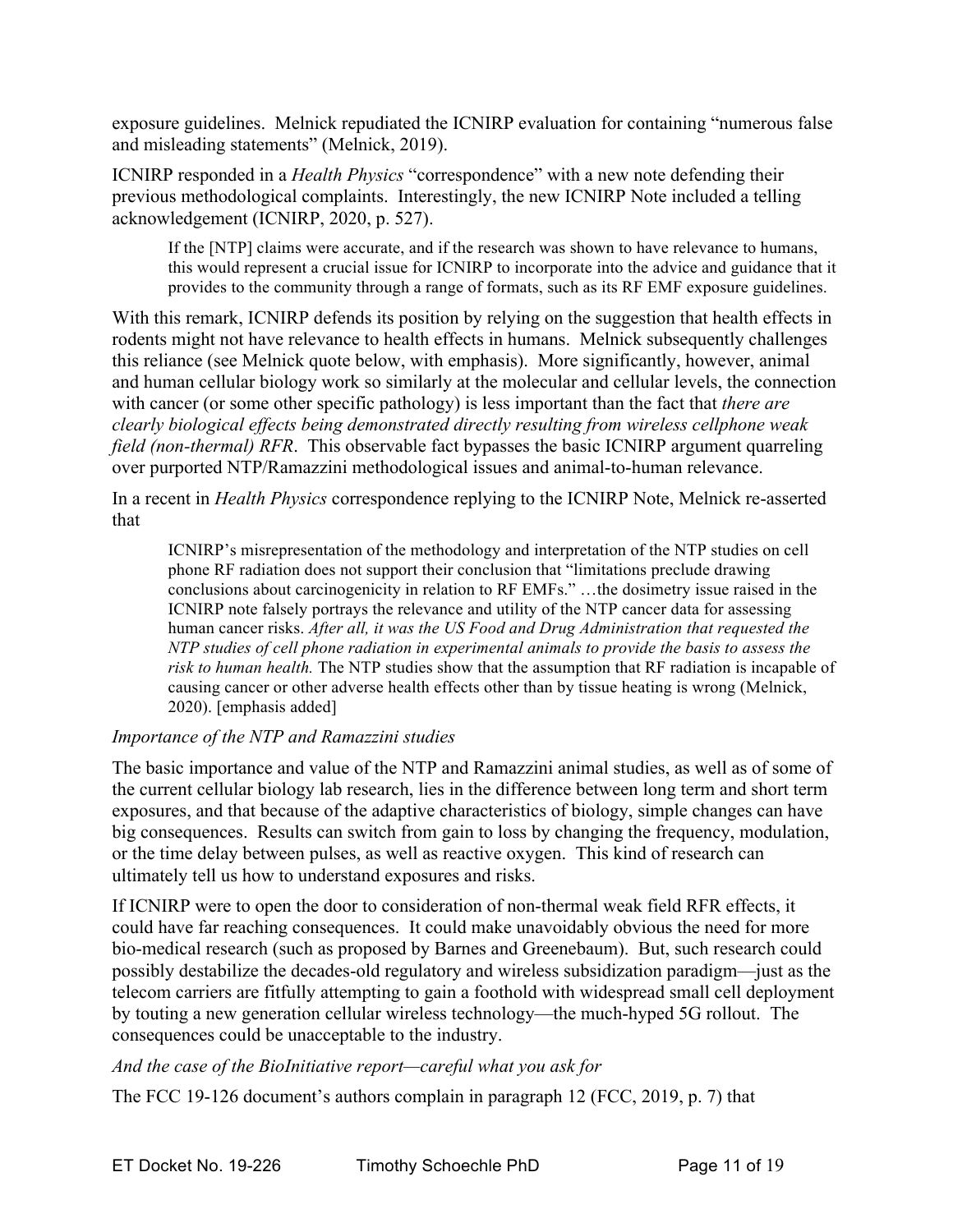exposure guidelines. Melnick repudiated the ICNIRP evaluation for containing "numerous false and misleading statements" (Melnick, 2019).

ICNIRP responded in a *Health Physics* "correspondence" with a new note defending their previous methodological complaints. Interestingly, the new ICNIRP Note included a telling acknowledgement (ICNIRP, 2020, p. 527).

If the [NTP] claims were accurate, and if the research was shown to have relevance to humans, this would represent a crucial issue for ICNIRP to incorporate into the advice and guidance that it provides to the community through a range of formats, such as its RF EMF exposure guidelines.

With this remark, ICNIRP defends its position by relying on the suggestion that health effects in rodents might not have relevance to health effects in humans. Melnick subsequently challenges this reliance (see Melnick quote below, with emphasis). More significantly, however, animal and human cellular biology work so similarly at the molecular and cellular levels, the connection with cancer (or some other specific pathology) is less important than the fact that *there are clearly biological effects being demonstrated directly resulting from wireless cellphone weak field (non-thermal) RFR*. This observable fact bypasses the basic ICNIRP argument quarreling over purported NTP/Ramazzini methodological issues and animal-to-human relevance.

In a recent in *Health Physics* correspondence replying to the ICNIRP Note, Melnick re-asserted that

ICNIRP's misrepresentation of the methodology and interpretation of the NTP studies on cell phone RF radiation does not support their conclusion that "limitations preclude drawing conclusions about carcinogenicity in relation to RF EMFs." …the dosimetry issue raised in the ICNIRP note falsely portrays the relevance and utility of the NTP cancer data for assessing human cancer risks. *After all, it was the US Food and Drug Administration that requested the NTP studies of cell phone radiation in experimental animals to provide the basis to assess the risk to human health.* The NTP studies show that the assumption that RF radiation is incapable of causing cancer or other adverse health effects other than by tissue heating is wrong (Melnick, 2020). [emphasis added]

## *Importance of the NTP and Ramazzini studies*

The basic importance and value of the NTP and Ramazzini animal studies, as well as of some of the current cellular biology lab research, lies in the difference between long term and short term exposures, and that because of the adaptive characteristics of biology, simple changes can have big consequences. Results can switch from gain to loss by changing the frequency, modulation, or the time delay between pulses, as well as reactive oxygen. This kind of research can ultimately tell us how to understand exposures and risks.

If ICNIRP were to open the door to consideration of non-thermal weak field RFR effects, it could have far reaching consequences. It could make unavoidably obvious the need for more bio-medical research (such as proposed by Barnes and Greenebaum). But, such research could possibly destabilize the decades-old regulatory and wireless subsidization paradigm—just as the telecom carriers are fitfully attempting to gain a foothold with widespread small cell deployment by touting a new generation cellular wireless technology—the much-hyped 5G rollout. The consequences could be unacceptable to the industry.

*And the case of the BioInitiative report—careful what you ask for*

The FCC 19-126 document's authors complain in paragraph 12 (FCC, 2019, p. 7) that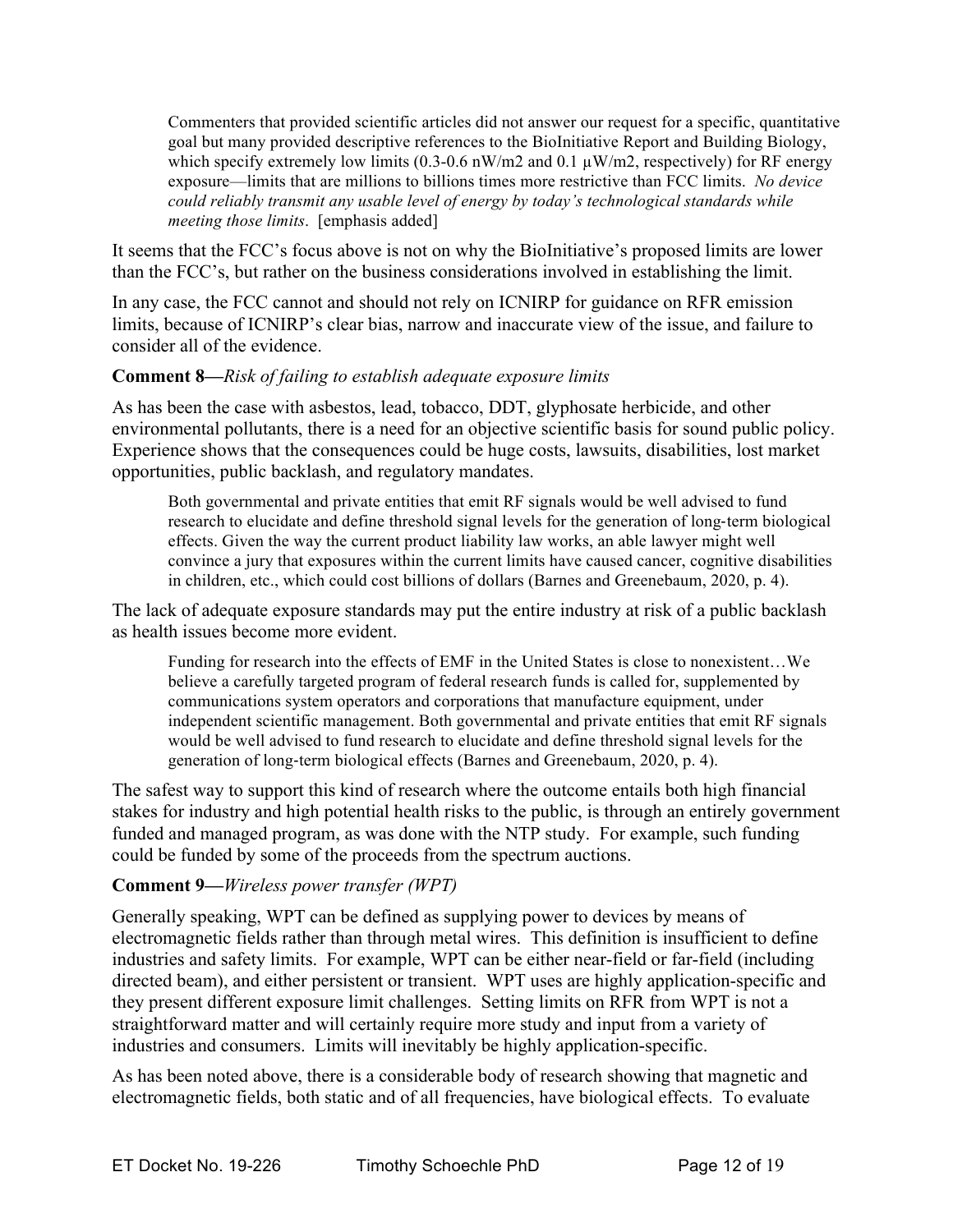Commenters that provided scientific articles did not answer our request for a specific, quantitative goal but many provided descriptive references to the BioInitiative Report and Building Biology, which specify extremely low limits (0.3-0.6 nW/m2 and 0.1  $\mu$ W/m2, respectively) for RF energy exposure—limits that are millions to billions times more restrictive than FCC limits. *No device could reliably transmit any usable level of energy by today's technological standards while meeting those limits*. [emphasis added]

It seems that the FCC's focus above is not on why the BioInitiative's proposed limits are lower than the FCC's, but rather on the business considerations involved in establishing the limit.

In any case, the FCC cannot and should not rely on ICNIRP for guidance on RFR emission limits, because of ICNIRP's clear bias, narrow and inaccurate view of the issue, and failure to consider all of the evidence.

## **Comment 8—***Risk of failing to establish adequate exposure limits*

As has been the case with asbestos, lead, tobacco, DDT, glyphosate herbicide, and other environmental pollutants, there is a need for an objective scientific basis for sound public policy. Experience shows that the consequences could be huge costs, lawsuits, disabilities, lost market opportunities, public backlash, and regulatory mandates.

Both governmental and private entities that emit RF signals would be well advised to fund research to elucidate and define threshold signal levels for the generation of long-term biological effects. Given the way the current product liability law works, an able lawyer might well convince a jury that exposures within the current limits have caused cancer, cognitive disabilities in children, etc., which could cost billions of dollars (Barnes and Greenebaum, 2020, p. 4).

The lack of adequate exposure standards may put the entire industry at risk of a public backlash as health issues become more evident.

Funding for research into the effects of EMF in the United States is close to nonexistent…We believe a carefully targeted program of federal research funds is called for, supplemented by communications system operators and corporations that manufacture equipment, under independent scientific management. Both governmental and private entities that emit RF signals would be well advised to fund research to elucidate and define threshold signal levels for the generation of long-term biological effects (Barnes and Greenebaum, 2020, p. 4).

The safest way to support this kind of research where the outcome entails both high financial stakes for industry and high potential health risks to the public, is through an entirely government funded and managed program, as was done with the NTP study. For example, such funding could be funded by some of the proceeds from the spectrum auctions.

## **Comment 9—***Wireless power transfer (WPT)*

Generally speaking, WPT can be defined as supplying power to devices by means of electromagnetic fields rather than through metal wires. This definition is insufficient to define industries and safety limits. For example, WPT can be either near-field or far-field (including directed beam), and either persistent or transient. WPT uses are highly application-specific and they present different exposure limit challenges. Setting limits on RFR from WPT is not a straightforward matter and will certainly require more study and input from a variety of industries and consumers. Limits will inevitably be highly application-specific.

As has been noted above, there is a considerable body of research showing that magnetic and electromagnetic fields, both static and of all frequencies, have biological effects. To evaluate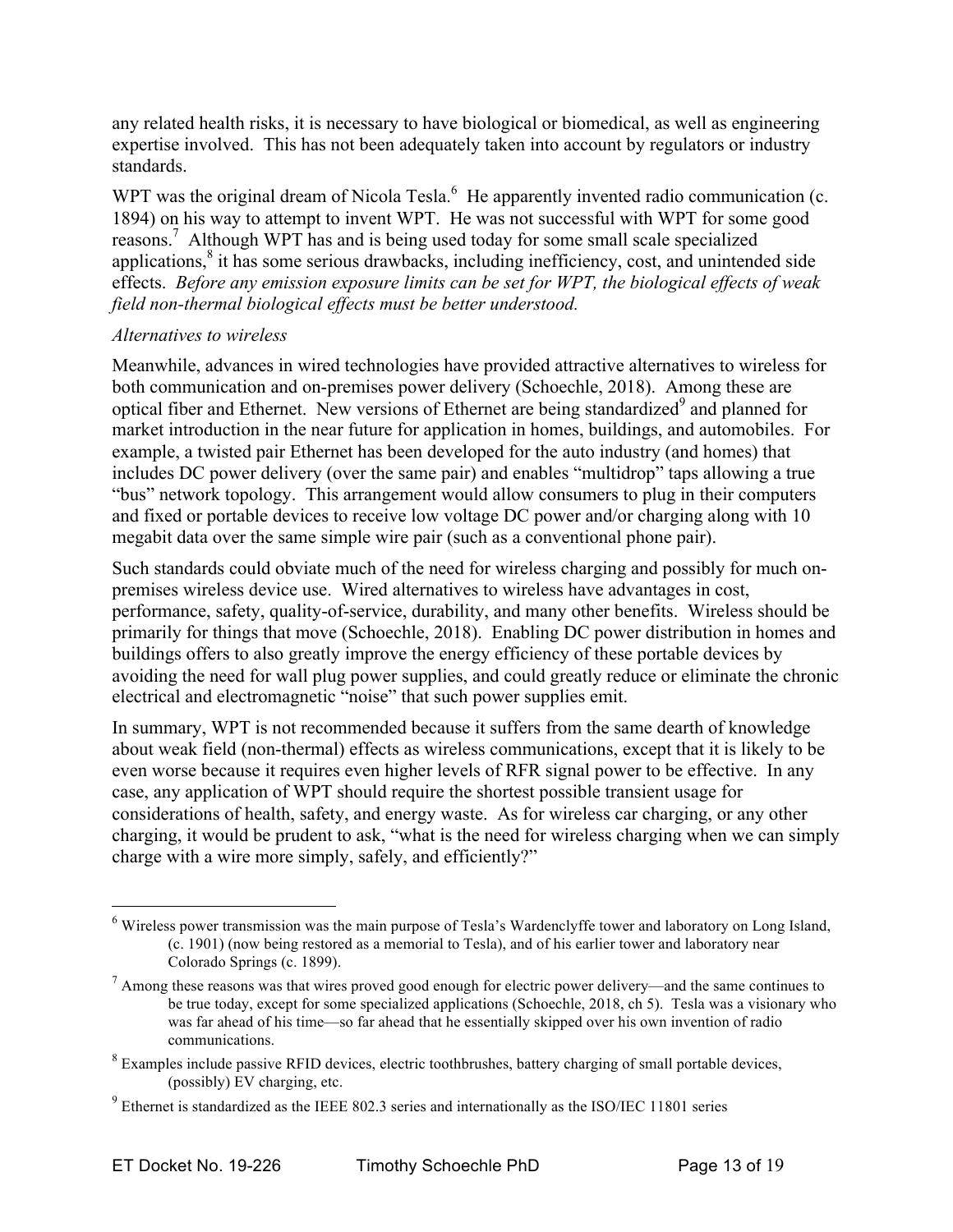any related health risks, it is necessary to have biological or biomedical, as well as engineering expertise involved. This has not been adequately taken into account by regulators or industry standards.

WPT was the original dream of Nicola Tesla. $<sup>6</sup>$  He apparently invented radio communication (c.</sup> 1894) on his way to attempt to invent WPT. He was not successful with WPT for some good reasons.7 Although WPT has and is being used today for some small scale specialized applications,<sup>8</sup> it has some serious drawbacks, including inefficiency, cost, and unintended side effects. *Before any emission exposure limits can be set for WPT, the biological effects of weak field non-thermal biological effects must be better understood.*

#### *Alternatives to wireless*

Meanwhile, advances in wired technologies have provided attractive alternatives to wireless for both communication and on-premises power delivery (Schoechle, 2018). Among these are optical fiber and Ethernet. New versions of Ethernet are being standardized<sup>9</sup> and planned for market introduction in the near future for application in homes, buildings, and automobiles. For example, a twisted pair Ethernet has been developed for the auto industry (and homes) that includes DC power delivery (over the same pair) and enables "multidrop" taps allowing a true "bus" network topology. This arrangement would allow consumers to plug in their computers and fixed or portable devices to receive low voltage DC power and/or charging along with 10 megabit data over the same simple wire pair (such as a conventional phone pair).

Such standards could obviate much of the need for wireless charging and possibly for much onpremises wireless device use. Wired alternatives to wireless have advantages in cost, performance, safety, quality-of-service, durability, and many other benefits. Wireless should be primarily for things that move (Schoechle, 2018). Enabling DC power distribution in homes and buildings offers to also greatly improve the energy efficiency of these portable devices by avoiding the need for wall plug power supplies, and could greatly reduce or eliminate the chronic electrical and electromagnetic "noise" that such power supplies emit.

In summary, WPT is not recommended because it suffers from the same dearth of knowledge about weak field (non-thermal) effects as wireless communications, except that it is likely to be even worse because it requires even higher levels of RFR signal power to be effective. In any case, any application of WPT should require the shortest possible transient usage for considerations of health, safety, and energy waste. As for wireless car charging, or any other charging, it would be prudent to ask, "what is the need for wireless charging when we can simply charge with a wire more simply, safely, and efficiently?"

 $\frac{1}{6}$ <sup>6</sup> Wireless power transmission was the main purpose of Tesla's Wardenclyffe tower and laboratory on Long Island, (c. 1901) (now being restored as a memorial to Tesla), and of his earlier tower and laboratory near Colorado Springs (c. 1899).

 $<sup>7</sup>$  Among these reasons was that wires proved good enough for electric power delivery—and the same continues to</sup> be true today, except for some specialized applications (Schoechle, 2018, ch 5). Tesla was a visionary who was far ahead of his time—so far ahead that he essentially skipped over his own invention of radio communications.

 $8$  Examples include passive RFID devices, electric toothbrushes, battery charging of small portable devices, (possibly) EV charging, etc.

 $9$  Ethernet is standardized as the IEEE 802.3 series and internationally as the ISO/IEC 11801 series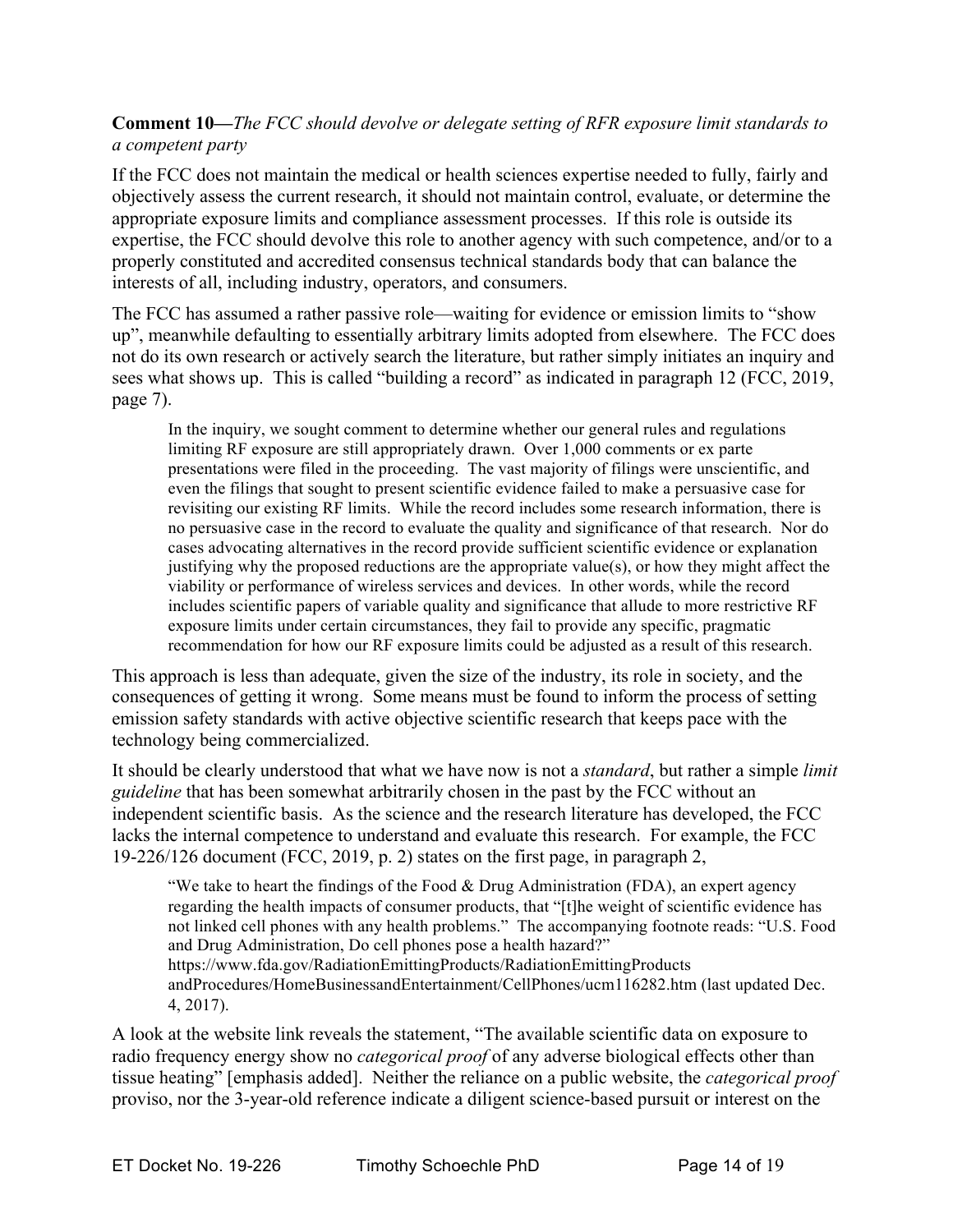## **Comment 10—***The FCC should devolve or delegate setting of RFR exposure limit standards to a competent party*

If the FCC does not maintain the medical or health sciences expertise needed to fully, fairly and objectively assess the current research, it should not maintain control, evaluate, or determine the appropriate exposure limits and compliance assessment processes. If this role is outside its expertise, the FCC should devolve this role to another agency with such competence, and/or to a properly constituted and accredited consensus technical standards body that can balance the interests of all, including industry, operators, and consumers.

The FCC has assumed a rather passive role—waiting for evidence or emission limits to "show up", meanwhile defaulting to essentially arbitrary limits adopted from elsewhere. The FCC does not do its own research or actively search the literature, but rather simply initiates an inquiry and sees what shows up. This is called "building a record" as indicated in paragraph 12 (FCC, 2019, page 7).

In the inquiry, we sought comment to determine whether our general rules and regulations limiting RF exposure are still appropriately drawn. Over 1,000 comments or ex parte presentations were filed in the proceeding. The vast majority of filings were unscientific, and even the filings that sought to present scientific evidence failed to make a persuasive case for revisiting our existing RF limits. While the record includes some research information, there is no persuasive case in the record to evaluate the quality and significance of that research. Nor do cases advocating alternatives in the record provide sufficient scientific evidence or explanation justifying why the proposed reductions are the appropriate value(s), or how they might affect the viability or performance of wireless services and devices. In other words, while the record includes scientific papers of variable quality and significance that allude to more restrictive RF exposure limits under certain circumstances, they fail to provide any specific, pragmatic recommendation for how our RF exposure limits could be adjusted as a result of this research.

This approach is less than adequate, given the size of the industry, its role in society, and the consequences of getting it wrong. Some means must be found to inform the process of setting emission safety standards with active objective scientific research that keeps pace with the technology being commercialized.

It should be clearly understood that what we have now is not a *standard*, but rather a simple *limit guideline* that has been somewhat arbitrarily chosen in the past by the FCC without an independent scientific basis. As the science and the research literature has developed, the FCC lacks the internal competence to understand and evaluate this research. For example, the FCC 19-226/126 document (FCC, 2019, p. 2) states on the first page, in paragraph 2,

"We take to heart the findings of the Food  $\&$  Drug Administration (FDA), an expert agency regarding the health impacts of consumer products, that "[t]he weight of scientific evidence has not linked cell phones with any health problems." The accompanying footnote reads: "U.S. Food and Drug Administration, Do cell phones pose a health hazard?"

https://www.fda.gov/RadiationEmittingProducts/RadiationEmittingProducts andProcedures/HomeBusinessandEntertainment/CellPhones/ucm116282.htm (last updated Dec. 4, 2017).

A look at the website link reveals the statement, "The available scientific data on exposure to radio frequency energy show no *categorical proof* of any adverse biological effects other than tissue heating" [emphasis added]. Neither the reliance on a public website, the *categorical proof* proviso, nor the 3-year-old reference indicate a diligent science-based pursuit or interest on the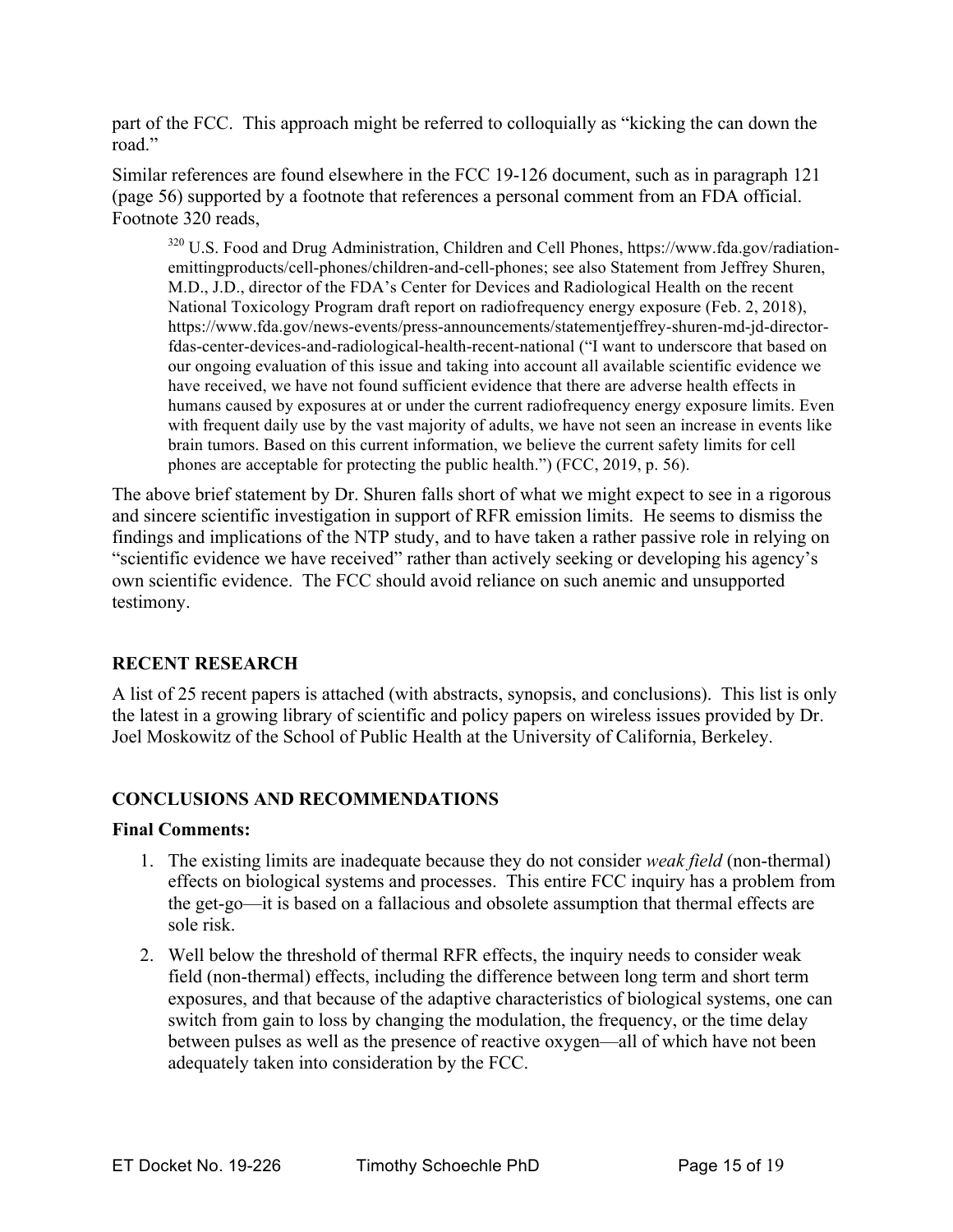part of the FCC. This approach might be referred to colloquially as "kicking the can down the road"

Similar references are found elsewhere in the FCC 19-126 document, such as in paragraph 121 (page 56) supported by a footnote that references a personal comment from an FDA official. Footnote 320 reads,

<sup>320</sup> U.S. Food and Drug Administration, Children and Cell Phones, https://www.fda.gov/radiationemittingproducts/cell-phones/children-and-cell-phones; see also Statement from Jeffrey Shuren, M.D., J.D., director of the FDA's Center for Devices and Radiological Health on the recent National Toxicology Program draft report on radiofrequency energy exposure (Feb. 2, 2018), https://www.fda.gov/news-events/press-announcements/statementjeffrey-shuren-md-jd-directorfdas-center-devices-and-radiological-health-recent-national ("I want to underscore that based on our ongoing evaluation of this issue and taking into account all available scientific evidence we have received, we have not found sufficient evidence that there are adverse health effects in humans caused by exposures at or under the current radiofrequency energy exposure limits. Even with frequent daily use by the vast majority of adults, we have not seen an increase in events like brain tumors. Based on this current information, we believe the current safety limits for cell phones are acceptable for protecting the public health.") (FCC, 2019, p. 56).

The above brief statement by Dr. Shuren falls short of what we might expect to see in a rigorous and sincere scientific investigation in support of RFR emission limits. He seems to dismiss the findings and implications of the NTP study, and to have taken a rather passive role in relying on "scientific evidence we have received" rather than actively seeking or developing his agency's own scientific evidence. The FCC should avoid reliance on such anemic and unsupported testimony.

## **RECENT RESEARCH**

A list of 25 recent papers is attached (with abstracts, synopsis, and conclusions). This list is only the latest in a growing library of scientific and policy papers on wireless issues provided by Dr. Joel Moskowitz of the School of Public Health at the University of California, Berkeley.

## **CONCLUSIONS AND RECOMMENDATIONS**

#### **Final Comments:**

- 1. The existing limits are inadequate because they do not consider *weak field* (non-thermal) effects on biological systems and processes. This entire FCC inquiry has a problem from the get-go—it is based on a fallacious and obsolete assumption that thermal effects are sole risk.
- 2. Well below the threshold of thermal RFR effects, the inquiry needs to consider weak field (non-thermal) effects, including the difference between long term and short term exposures, and that because of the adaptive characteristics of biological systems, one can switch from gain to loss by changing the modulation, the frequency, or the time delay between pulses as well as the presence of reactive oxygen—all of which have not been adequately taken into consideration by the FCC.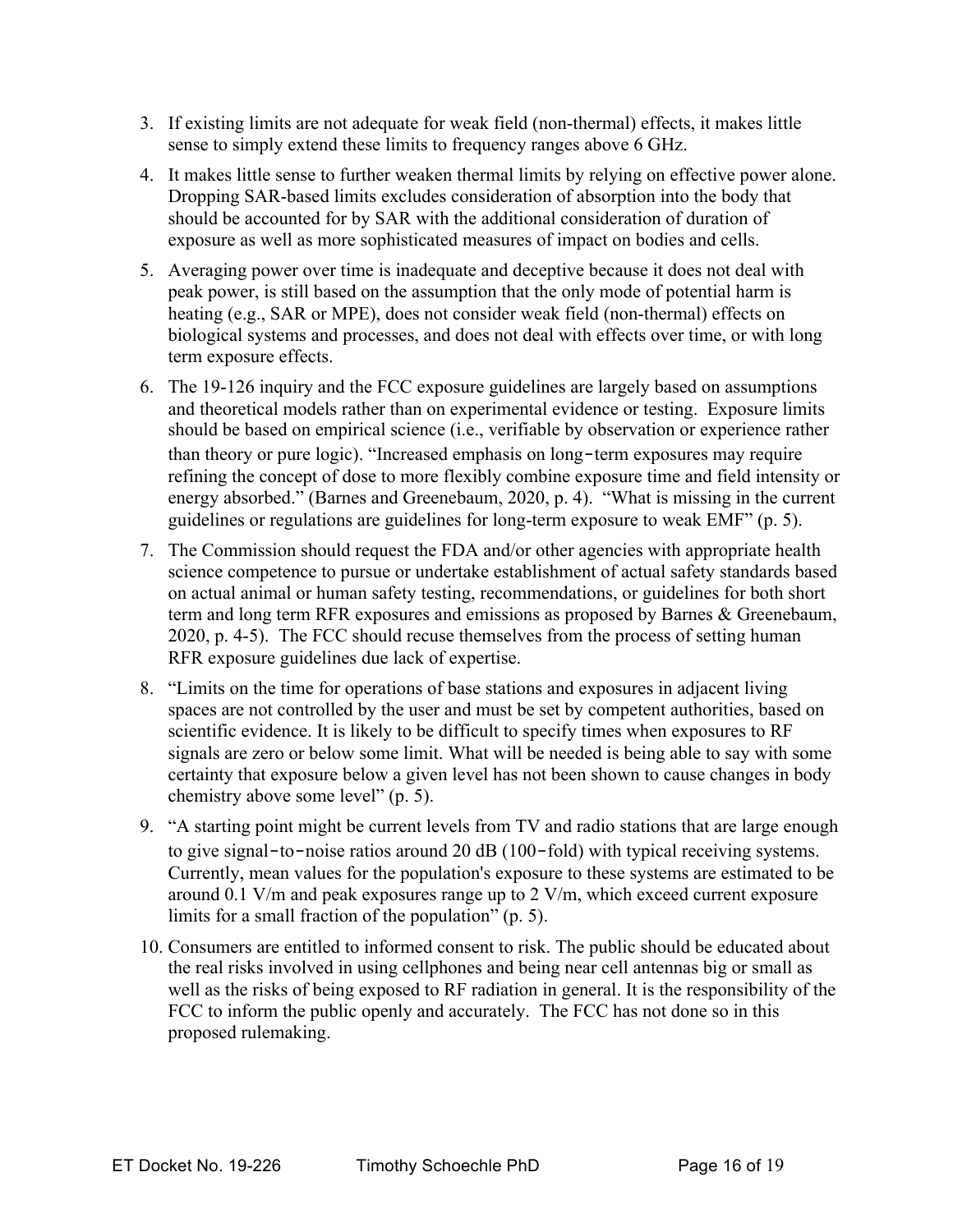- 3. If existing limits are not adequate for weak field (non-thermal) effects, it makes little sense to simply extend these limits to frequency ranges above 6 GHz.
- 4. It makes little sense to further weaken thermal limits by relying on effective power alone. Dropping SAR-based limits excludes consideration of absorption into the body that should be accounted for by SAR with the additional consideration of duration of exposure as well as more sophisticated measures of impact on bodies and cells.
- 5. Averaging power over time is inadequate and deceptive because it does not deal with peak power, is still based on the assumption that the only mode of potential harm is heating (e.g., SAR or MPE), does not consider weak field (non-thermal) effects on biological systems and processes, and does not deal with effects over time, or with long term exposure effects.
- 6. The 19-126 inquiry and the FCC exposure guidelines are largely based on assumptions and theoretical models rather than on experimental evidence or testing. Exposure limits should be based on empirical science (i.e., verifiable by observation or experience rather than theory or pure logic). "Increased emphasis on long‐term exposures may require refining the concept of dose to more flexibly combine exposure time and field intensity or energy absorbed." (Barnes and Greenebaum, 2020, p. 4). "What is missing in the current guidelines or regulations are guidelines for long-term exposure to weak EMF" (p. 5).
- 7. The Commission should request the FDA and/or other agencies with appropriate health science competence to pursue or undertake establishment of actual safety standards based on actual animal or human safety testing, recommendations, or guidelines for both short term and long term RFR exposures and emissions as proposed by Barnes & Greenebaum, 2020, p. 4-5). The FCC should recuse themselves from the process of setting human RFR exposure guidelines due lack of expertise.
- 8. "Limits on the time for operations of base stations and exposures in adjacent living spaces are not controlled by the user and must be set by competent authorities, based on scientific evidence. It is likely to be difficult to specify times when exposures to RF signals are zero or below some limit. What will be needed is being able to say with some certainty that exposure below a given level has not been shown to cause changes in body chemistry above some level" (p. 5).
- 9. "A starting point might be current levels from TV and radio stations that are large enough to give signal–to–noise ratios around 20 dB (100–fold) with typical receiving systems. Currently, mean values for the population's exposure to these systems are estimated to be around 0.1 V/m and peak exposures range up to 2 V/m, which exceed current exposure limits for a small fraction of the population" (p. 5).
- 10. Consumers are entitled to informed consent to risk. The public should be educated about the real risks involved in using cellphones and being near cell antennas big or small as well as the risks of being exposed to RF radiation in general. It is the responsibility of the FCC to inform the public openly and accurately. The FCC has not done so in this proposed rulemaking.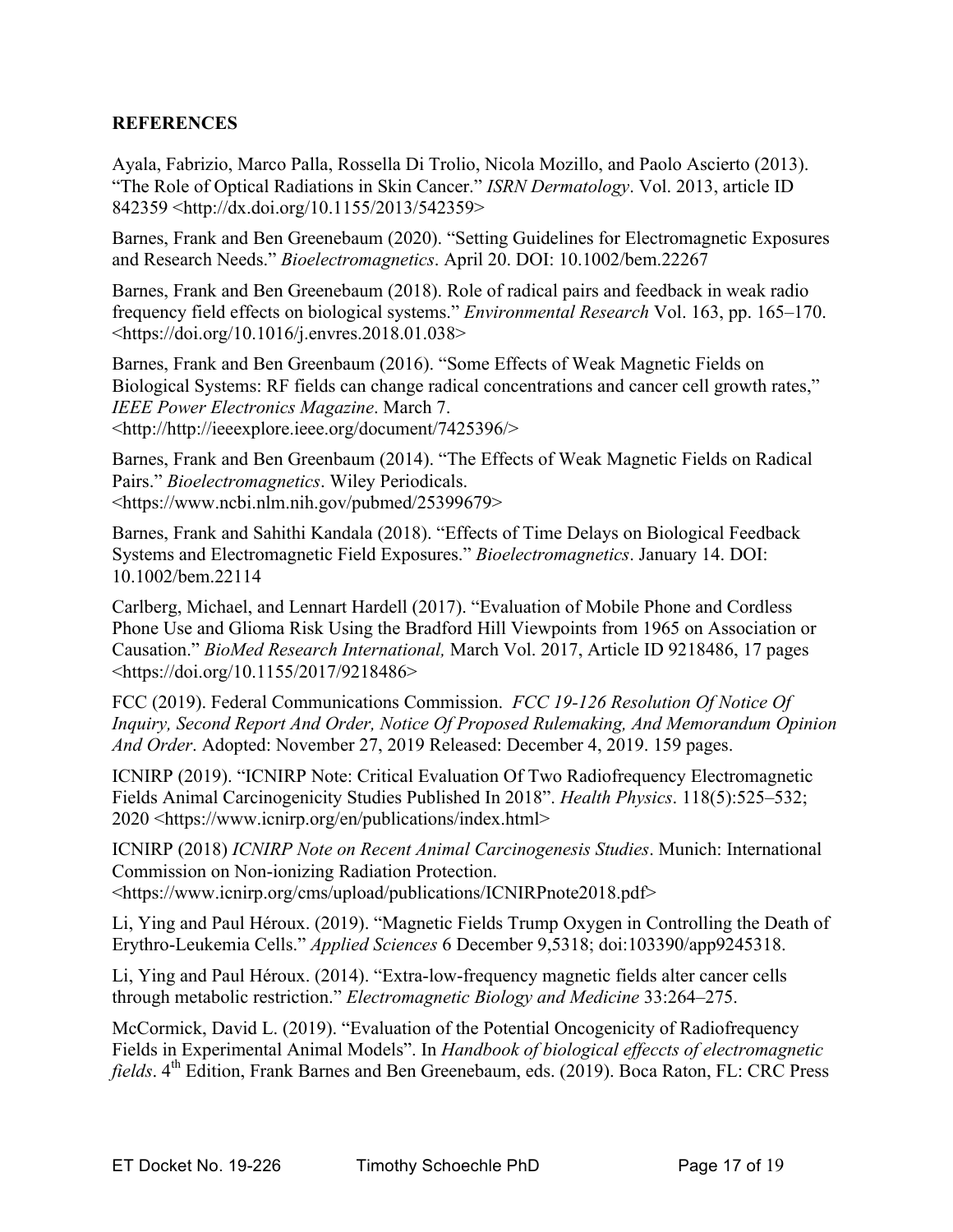## **REFERENCES**

Ayala, Fabrizio, Marco Palla, Rossella Di Trolio, Nicola Mozillo, and Paolo Ascierto (2013). "The Role of Optical Radiations in Skin Cancer." *ISRN Dermatology*. Vol. 2013, article ID 842359 <http://dx.doi.org/10.1155/2013/542359>

Barnes, Frank and Ben Greenebaum (2020). "Setting Guidelines for Electromagnetic Exposures and Research Needs." *Bioelectromagnetics*. April 20. DOI: 10.1002/bem.22267

Barnes, Frank and Ben Greenebaum (2018). Role of radical pairs and feedback in weak radio frequency field effects on biological systems." *Environmental Research* Vol. 163, pp. 165–170. <https://doi.org/10.1016/j.envres.2018.01.038>

Barnes, Frank and Ben Greenbaum (2016). "Some Effects of Weak Magnetic Fields on Biological Systems: RF fields can change radical concentrations and cancer cell growth rates," *IEEE Power Electronics Magazine*. March 7. <http://http://ieeexplore.ieee.org/document/7425396/>

Barnes, Frank and Ben Greenbaum (2014). "The Effects of Weak Magnetic Fields on Radical Pairs." *Bioelectromagnetics*. Wiley Periodicals. <https://www.ncbi.nlm.nih.gov/pubmed/25399679>

Barnes, Frank and Sahithi Kandala (2018). "Effects of Time Delays on Biological Feedback Systems and Electromagnetic Field Exposures." *Bioelectromagnetics*. January 14. DOI: 10.1002/bem.22114

Carlberg, Michael, and Lennart Hardell (2017). "Evaluation of Mobile Phone and Cordless Phone Use and Glioma Risk Using the Bradford Hill Viewpoints from 1965 on Association or Causation." *BioMed Research International,* March Vol. 2017, Article ID 9218486, 17 pages <https://doi.org/10.1155/2017/9218486>

FCC (2019). Federal Communications Commission. *FCC 19-126 Resolution Of Notice Of Inquiry, Second Report And Order, Notice Of Proposed Rulemaking, And Memorandum Opinion And Order*. Adopted: November 27, 2019 Released: December 4, 2019. 159 pages.

ICNIRP (2019). "ICNIRP Note: Critical Evaluation Of Two Radiofrequency Electromagnetic Fields Animal Carcinogenicity Studies Published In 2018". *Health Physics*. 118(5):525–532; 2020 <https://www.icnirp.org/en/publications/index.html>

ICNIRP (2018) *ICNIRP Note on Recent Animal Carcinogenesis Studies*. Munich: International Commission on Non-ionizing Radiation Protection. <https://www.icnirp.org/cms/upload/publications/ICNIRPnote2018.pdf>

Li, Ying and Paul Héroux. (2019). "Magnetic Fields Trump Oxygen in Controlling the Death of Erythro-Leukemia Cells." *Applied Sciences* 6 December 9,5318; doi:103390/app9245318.

Li, Ying and Paul Héroux. (2014). "Extra-low-frequency magnetic fields alter cancer cells through metabolic restriction." *Electromagnetic Biology and Medicine* 33:264–275.

McCormick, David L. (2019). "Evaluation of the Potential Oncogenicity of Radiofrequency Fields in Experimental Animal Models". In *Handbook of biological effeccts of electromagnetic fields*. 4<sup>th</sup> Edition, Frank Barnes and Ben Greenebaum, eds. (2019). Boca Raton, FL: CRC Press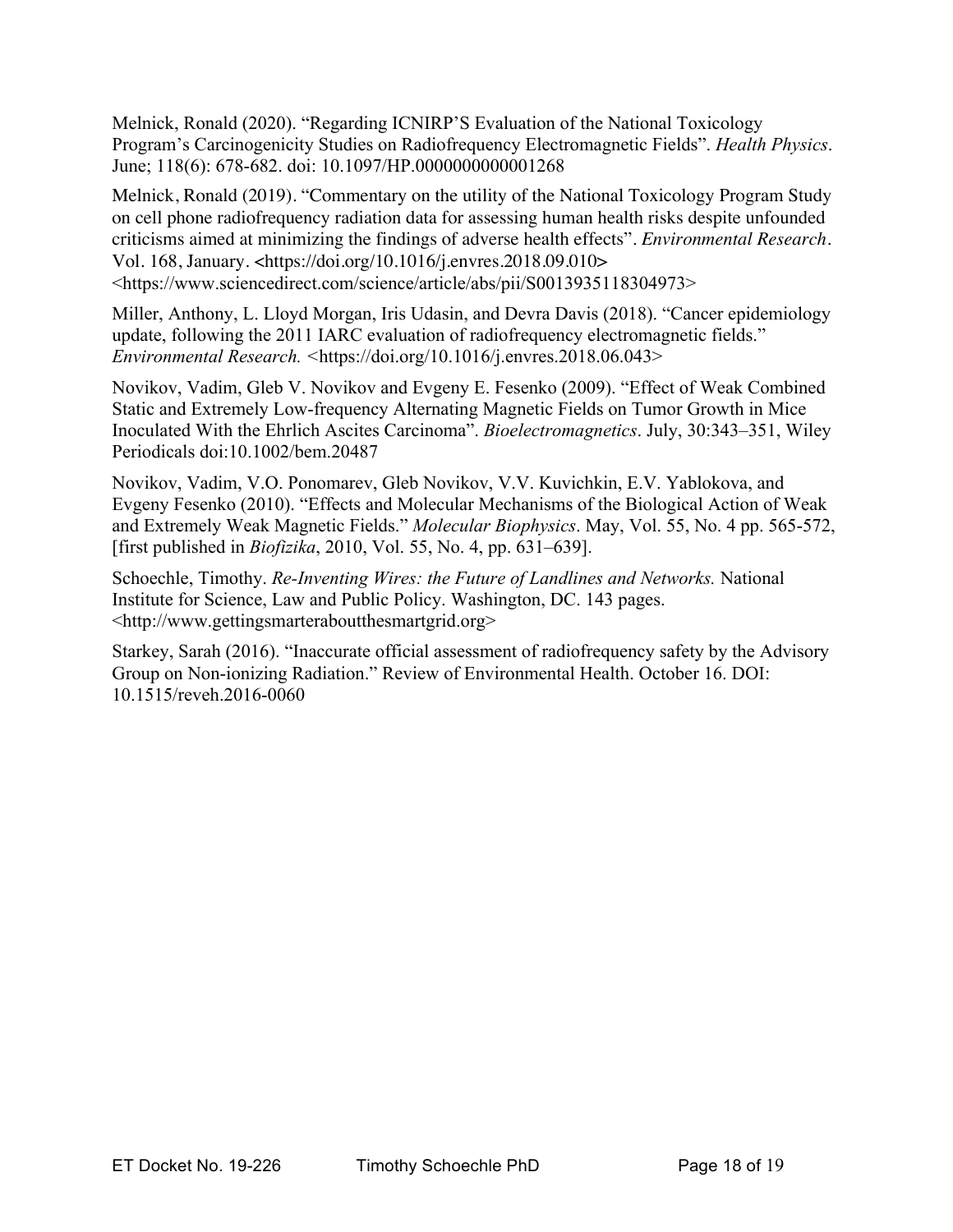Melnick, Ronald (2020). "Regarding ICNIRP'S Evaluation of the National Toxicology Program's Carcinogenicity Studies on Radiofrequency Electromagnetic Fields". *Health Physics*. June; 118(6): 678-682. doi: 10.1097/HP.0000000000001268

Melnick, Ronald (2019). "Commentary on the utility of the National Toxicology Program Study on cell phone radiofrequency radiation data for assessing human health risks despite unfounded criticisms aimed at minimizing the findings of adverse health effects". *Environmental Research*. Vol. 168, January. <https://doi.org/10.1016/j.envres.2018.09.010> <https://www.sciencedirect.com/science/article/abs/pii/S0013935118304973>

Miller, Anthony, L. Lloyd Morgan, Iris Udasin, and Devra Davis (2018). "Cancer epidemiology update, following the 2011 IARC evaluation of radiofrequency electromagnetic fields." *Environmental Research. <*https://doi.org/10.1016/j.envres.2018.06.043>

Novikov, Vadim, Gleb V. Novikov and Evgeny E. Fesenko (2009). "Effect of Weak Combined Static and Extremely Low-frequency Alternating Magnetic Fields on Tumor Growth in Mice Inoculated With the Ehrlich Ascites Carcinoma". *Bioelectromagnetics*. July, 30:343–351, Wiley Periodicals doi:10.1002/bem.20487

Novikov, Vadim, V.O. Ponomarev, Gleb Novikov, V.V. Kuvichkin, E.V. Yablokova, and Evgeny Fesenko (2010). "Effects and Molecular Mechanisms of the Biological Action of Weak and Extremely Weak Magnetic Fields." *Molecular Biophysics*. May, Vol. 55, No. 4 pp. 565-572, [first published in *Biofizika*, 2010, Vol. 55, No. 4, pp. 631–639].

Schoechle, Timothy. *Re-Inventing Wires: the Future of Landlines and Networks.* National Institute for Science, Law and Public Policy. Washington, DC. 143 pages. <http://www.gettingsmarteraboutthesmartgrid.org>

Starkey, Sarah (2016). "Inaccurate official assessment of radiofrequency safety by the Advisory Group on Non-ionizing Radiation." Review of Environmental Health. October 16. DOI: 10.1515/reveh.2016-0060